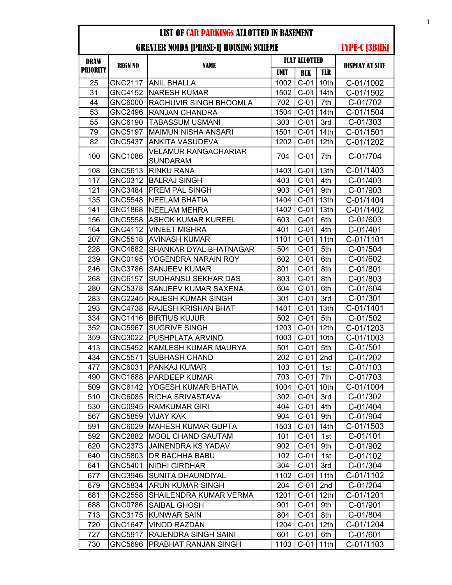| <b>DRAW</b>     | <b>REGN NO</b> |                                                | <b>FLAT ALLOTTED</b> |                    |                  | <b>DISPLAY AT SITE</b> |
|-----------------|----------------|------------------------------------------------|----------------------|--------------------|------------------|------------------------|
| <b>PRIORITY</b> |                | <b>NAME</b>                                    | <b>UNIT</b>          | <b>BLK</b>         | <b>FLR</b>       |                        |
| 25              |                | GNC2117 ANIL BHALLA                            | 1002                 | $C-01$             | 10th             | C-01/1002              |
| 31              | <b>GNC4152</b> | <b>NARESH KUMAR</b>                            | 1502                 | $C-01$             | 14th             | C-01/1502              |
| 44              | GNC6000        | RAGHUVIR SINGH BHOOMLA                         | 702                  | $C-01$             | 7th              | C-01/702               |
| 53              | <b>GNC2496</b> | <b>RANJAN CHANDRA</b>                          | 1504                 | $C-01$             | 14th             | C-01/1504              |
| 55              | GNC6190        | <b>TABASSUM USMANI</b>                         | 303                  | $C-01$             | 3rd              | C-01/303               |
| 79              | GNC5197        | MAIMUN NISHA ANSARI                            | 1501                 | $C-01$             | 14 <sub>th</sub> | C-01/1501              |
| 82              | <b>GNC5437</b> | <b>ANKITA VASUDEVA</b>                         | 1202                 | $C-01$             | 12th             | C-01/1202              |
| 100             | <b>GNC1086</b> | <b>VELAMUR RANGACHARIAR</b><br><b>SUNDARAM</b> | 704                  | $C-01$             | 7th              | C-01/704               |
| 108             | GNC5613        | <b>RINKU RANA</b>                              | 1403                 | $C-01$             | 13th             | C-01/1403              |
| 117             | GNC0312        | <b>BALRAJ SINGH</b>                            | 403                  | $C-01$             | 4th              | C-01/403               |
| 121             | GNC3484        | <b>PREM PAL SINGH</b>                          | 903                  | $C-01$             | 9th              | C-01/903               |
| 135             | <b>GNC5548</b> | NEELAM BHATIA                                  | 1404                 | $C-01$             | 13th             | C-01/1404              |
| 141             | <b>GNC1868</b> | NEELAM MEHRA                                   | 1402                 | $C-01$             | 13 <sub>th</sub> | C-01/1402              |
| 156             | <b>GNC5558</b> | <b>ASHOK KUMAR KUREEL</b>                      | 603                  | $C-01$             | 6th              | C-01/603               |
| 164             | GNC4112        | <b>VINEET MISHRA</b>                           | 401                  | $C-01$             | 4th              | C-01/401               |
| 207             | <b>GNC5518</b> | <b>AVINASH KUMAR</b>                           | 1101                 | $C-01$             | 11th             | C-01/1101              |
| 228             | <b>GNC4682</b> | <b>SHANKAR DYAL BHATNAGAR</b>                  | 504                  | $C-01$             | 5th              | C-01/504               |
| 239             | GNC0195        | YOGENDRA NARAIN ROY                            | 602                  | $C-01$             | 6th              | C-01/602               |
| 246             | GNC3786        | <b>SANJEEV KUMAR</b>                           | 801                  | $C-01$             | 8th              | C-01/801               |
| 268             | GNC6157        | <b>SUDHANSU SEKHAR DAS</b>                     | 803                  | $C-01$             | 8th              | C-01/803               |
| 280             | GNC5378        | <b>SANJEEV KUMAR SAXENA</b>                    | 604                  | $C-01$             | 6th              | C-01/604               |
| 283             | <b>GNC2245</b> | <b>RAJESH KUMAR SINGH</b>                      | 301                  | $C-01$             | 3rd              | C-01/301               |
| 293             | <b>GNC4738</b> | <b>RAJESH KRISHAN BHAT</b>                     | 1401                 | $C-01$             | 13th             | C-01/1401              |
| 334             | <b>GNC1416</b> | <b>BIRTIUS KUJUR</b>                           | 502                  | $C-01$             | 5th              | C-01/502               |
| 352             | <b>GNC5967</b> | <b>SUGRIVE SINGH</b>                           | 1203                 | $C-01$             | 12th             | C-01/1203              |
| 359             | GNC3022        | PUSHPLATA ARVIND                               | 1003                 | $C-01$             | 10th             | C-01/1003              |
| 413             | <b>GNC5452</b> | KAMLESH KUMAR MAURYA                           | 501                  | $C-01$             | 5th              | C-01/501               |
| 434             | <b>GNC5571</b> | <b>SUBHASH CHAND</b>                           | 202                  | $C-01$             | 2nd              | C-01/202               |
| 477             | GNC6031        | <b>PANKAJ KUMAR</b>                            | 103                  | $C-01$             | 1st              | C-01/103               |
| 490             | GNC1688        | <b>PARDEEP KUMAR</b>                           | 703                  | $C-01$             | 7th              | C-01/703               |
| 509             | GNC6142        | YOGESH KUMAR BHATIA                            |                      | 1004   C-01   10th |                  | C-01/1004              |
| 510             | GNC6085        | <b>RICHA SRIVASTAVA</b>                        | 302                  | $C-01$             | 3rd              | C-01/302               |
| 530             | GNC0945        | <b>RAMKUMAR GIRI</b>                           | 404                  | $C-01$             | 4th              | C-01/404               |
| 567             | GNC5859        | <b>VIJAY KAK</b>                               | 904                  | $C-01$             | 9th              | C-01/904               |
| 591             | GNC6029        | <b>MAHESH KUMAR GUPTA</b>                      | 1503                 | $C-01$             | 14th             | C-01/1503              |
| 592             | GNC2882        | MOOL CHAND GAUTAM                              | 101                  | $C-01$             | 1st              | C-01/101               |
| 620             | GNC2373        | JAINENDRA KS YADAV                             | 902                  | $C-01$             | 9th              | C-01/902               |
| 640             | GNC5803        | <b>DR BACHHA BABU</b>                          | 102                  | $C-01$             | 1st              | C-01/102               |
| 641             | GNC5401        | <b>NIDHI GIRDHAR</b>                           | 304                  | $C-01$             | 3rd              | C-01/304               |
| 677             | GNC3946        | <b>SUNITA DHAUNDIYAL</b>                       | 1102                 | $C-01$             | 11th             | C-01/1102              |
| 679             | <b>GNC5834</b> | <b>ARUN KUMAR SINGH</b>                        | 204                  | $C-01$             | 2nd              | C-01/204               |
| 681             | <b>GNC2558</b> | <b>SHAILENDRA KUMAR VERMA</b>                  | 1201                 | $C-01$             | 12 <sub>th</sub> | C-01/1201              |
| 688             | GNC0786        | <b>SAIBAL GHOSH</b>                            | 901                  | $C-01$             | 9th              | C-01/901               |
| 713             | GNC3175        | <b>KUNWAR SAIN</b>                             | 804                  | $C-01$             | 8th              | C-01/804               |
| 720             | GNC1647        | <b>VINOD RAZDAN</b>                            | 1204                 | $C-01$             | 12 <sub>th</sub> | C-01/1204              |
| 727             | GNC5917        | <b>RAJENDRA SINGH SAINI</b>                    | 601                  | $C-01$             | 6th              | C-01/601               |
| 730             | GNC5696        | PRABHAT RANJAN SINGH                           | 1103                 | $C-01$             | 11th             | C-01/1103              |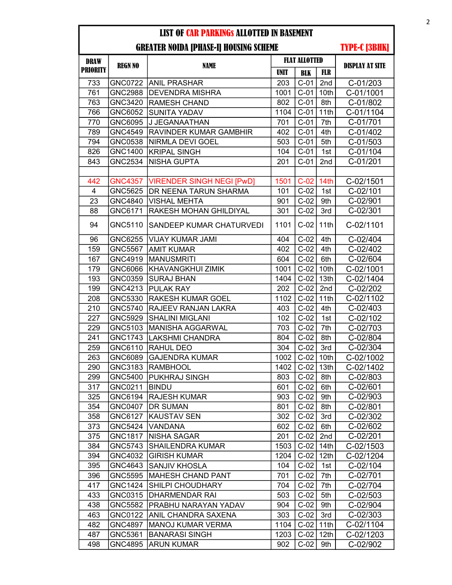| <b>PRIORITY</b><br><b>UNIT</b><br><b>FLR</b><br><b>BLK</b><br>$C-01$<br>2nd<br>733<br>GNC0722 ANIL PRASHAR<br>C-01/203<br>203<br>761<br>$C-01$<br>C-01/1001<br><b>GNC2988</b><br><b>DEVENDRA MISHRA</b><br>10th<br>1001<br>GNC3420<br><b>RAMESH CHAND</b><br>$C-01$<br>8th<br>C-01/802<br>763<br>802<br>$C-01$<br>11th<br>766<br>GNC6052<br>1104<br>C-01/1104<br><b>SUNITA YADAV</b><br>$C-01$<br>7th<br>770<br>GNC6095<br> J JEGANAATHAN<br>701<br>C-01/701<br>789<br>GNC4549<br>$C-01$<br>4th<br>C-01/402<br><b>RAVINDER KUMAR GAMBHIR</b><br>402<br><b>GNC0538</b><br>$C-01$<br>5th<br>C-01/503<br>794<br>NIRMLA DEVI GOEL<br>503<br>826<br><b>GNC1400</b><br>104<br>$C-01$<br>1st<br>C-01/104<br><b>KRIPAL SINGH</b><br>$C-01$<br>C-01/201<br>843<br><b>GNC2534</b><br><b>NISHA GUPTA</b><br>201<br>2nd<br>GNC4357   VIRENDER SINGH NEGI [PwD]<br>$C-02$<br>14th<br>C-02/1501<br>442<br>1501<br>C-02/101<br>GNC5625<br><b>DR NEENA TARUN SHARMA</b><br>$C-02$<br>4<br>101<br>1st<br>23<br>GNC4840<br><b>VISHAL MEHTA</b><br>901<br>$C-02$<br>9th<br>C-02/901<br>GNC6171<br>RAKESH MOHAN GHILDIYAL<br>301<br>$C-02$<br>3rd<br>C-02/301<br>88<br>GNC5110<br>$C-02$<br>11th<br>C-02/1101<br>94<br>SANDEEP KUMAR CHATURVEDI<br>1101<br>GNC6255<br>$C-02$<br>4th<br>96<br><b>VIJAY KUMAR JAMI</b><br>404<br>C-02/404<br>159<br><b>GNC5567</b><br>402<br>$C-02$<br>4th<br>C-02/402<br><b>AMIT KUMAR</b><br><b>MANUSMRITI</b><br>$C-02$<br>6th<br>167<br>GNC4919<br>604<br>C-02/604<br>10th<br>179<br>GNC6066<br>$C-02$<br>C-02/1001<br>KHAVANGKHUI ZIMIK<br>1001<br>193<br>$C-02$<br>13th<br>GNC0359<br><b>SURAJ BHAN</b><br>1404<br>C-02/1404<br>199<br>GNC4213<br><b>PULAK RAY</b><br>202<br>$C-02$<br>2nd<br>C-02/202<br>$C-02$<br>208<br>GNC5330<br><b>RAKESH KUMAR GOEL</b><br>11th<br>C-02/1102<br>1102<br>$C-02$<br>210<br><b>GNC5740</b><br>RAJEEV RANJAN LAKRA<br>4th<br>C-02/403<br>403<br>227<br>GNC5929<br><b>SHALINI MIGLANI</b><br>102<br>$C-02$<br>1st<br>C-02/102<br>GNC5103<br><b>MANISHA AGGARWAL</b><br>$C-02$<br>7th<br>229<br>703<br>C-02/703<br>241<br><b>GNC1743</b><br><b>LAKSHMI CHANDRA</b><br>804<br>$C-02$<br>8th<br>C-02/804<br>$C-02$<br>259<br><b>RAHUL DEO</b><br>3rd<br>GNC6110<br>304<br>C-02/304<br>263<br>GNC6089<br><b>GAJENDRA KUMAR</b><br>$C-02$<br>10th<br>C-02/1002<br>1002<br>290<br>$C-02$<br>13th<br>GNC3183<br><b>RAMBHOOL</b><br>1402<br>C-02/1402<br>299<br>803<br>$C-02$<br>GNC5400<br>PUKHRAJ SINGH<br>8th<br>C-02/803<br>$C-02$<br>GNC0211<br>C-02/601<br>317<br> BINDU<br>601<br>6th<br>325<br>$C-02$<br>GNC6194<br>903<br>9th<br>C-02/903<br><b>RAJESH KUMAR</b><br>354<br><b>GNC0407</b><br><b>DR SUMAN</b><br>801<br>$C-02$<br>8th<br>C-02/801<br>358<br>GNC6127<br> KAUSTAV SEN<br>302<br>$C-02$<br>3rd<br>C-02/302<br>373<br><b>GNC5424</b><br>VANDANA<br>$C-02$<br>C-02/602<br>602<br>6th<br>$C-02$<br>375<br><b>GNC1817</b><br>201<br>2nd<br>C-02/201<br><b>NISHA SAGAR</b><br><b>SHAILENDRA KUMAR</b><br>$C-02$<br>14th<br>384<br>GNC5743<br>1503<br>C-02/1503<br>394<br>12th<br>GNC4032<br>1204<br>$C-02$<br>C-02/1204<br><b>GIRISH KUMAR</b><br>GNC4643<br><b>SANJIV KHOSLA</b><br>395<br>104<br>$C-02$<br>C-02/104<br>1st<br>396<br><b>GNC5595</b><br>701<br>$C-02$<br>7th<br>C-02/701<br><b>MAHESH CHAND PANT</b><br>$C-02$<br>7th<br>417<br><b>GNC1424</b><br>SHILPI CHOUDHARY<br>704<br>C-02/704<br>5th<br>433<br>GNC0315<br>503<br>$C-02$<br>C-02/503<br><b>DHARMENDAR RAI</b><br>438<br>GNC5582<br>PRABHU NARAYAN YADAV<br>$C-02$<br>9th<br>C-02/904<br>904<br>463<br>GNC0122<br>$C-02$<br>ANIL CHANDRA SAXENA<br>303<br>3rd<br>$C-02/303$<br>482<br>GNC4897<br><b>MANOJ KUMAR VERMA</b><br>1104<br>$C-02$<br>11th<br>C-02/1104<br>12th<br>C-02/1203<br>487<br>GNC5361<br><b>BANARASI SINGH</b><br>1203<br>$C-02$<br>498<br>GNC4895<br><b>ARUN KUMAR</b><br>902<br>$C-02$<br>C-02/902<br>9th | DRAW |                |             | <b>FLAT ALLOTTED</b> |  |  |                        |
|----------------------------------------------------------------------------------------------------------------------------------------------------------------------------------------------------------------------------------------------------------------------------------------------------------------------------------------------------------------------------------------------------------------------------------------------------------------------------------------------------------------------------------------------------------------------------------------------------------------------------------------------------------------------------------------------------------------------------------------------------------------------------------------------------------------------------------------------------------------------------------------------------------------------------------------------------------------------------------------------------------------------------------------------------------------------------------------------------------------------------------------------------------------------------------------------------------------------------------------------------------------------------------------------------------------------------------------------------------------------------------------------------------------------------------------------------------------------------------------------------------------------------------------------------------------------------------------------------------------------------------------------------------------------------------------------------------------------------------------------------------------------------------------------------------------------------------------------------------------------------------------------------------------------------------------------------------------------------------------------------------------------------------------------------------------------------------------------------------------------------------------------------------------------------------------------------------------------------------------------------------------------------------------------------------------------------------------------------------------------------------------------------------------------------------------------------------------------------------------------------------------------------------------------------------------------------------------------------------------------------------------------------------------------------------------------------------------------------------------------------------------------------------------------------------------------------------------------------------------------------------------------------------------------------------------------------------------------------------------------------------------------------------------------------------------------------------------------------------------------------------------------------------------------------------------------------------------------------------------------------------------------------------------------------------------------------------------------------------------------------------------------------------------------------------------------------------------------------------------------------------------------------------------------------------------------------------------------------------------------------------------------------------------------------------------------------------------------------------------------------------------------------------------------------------------------------------------------------------------|------|----------------|-------------|----------------------|--|--|------------------------|
|                                                                                                                                                                                                                                                                                                                                                                                                                                                                                                                                                                                                                                                                                                                                                                                                                                                                                                                                                                                                                                                                                                                                                                                                                                                                                                                                                                                                                                                                                                                                                                                                                                                                                                                                                                                                                                                                                                                                                                                                                                                                                                                                                                                                                                                                                                                                                                                                                                                                                                                                                                                                                                                                                                                                                                                                                                                                                                                                                                                                                                                                                                                                                                                                                                                                                                                                                                                                                                                                                                                                                                                                                                                                                                                                                                                                                                                                |      | <b>REGN NO</b> | <b>NAME</b> |                      |  |  | <b>DISPLAY AT SITE</b> |
|                                                                                                                                                                                                                                                                                                                                                                                                                                                                                                                                                                                                                                                                                                                                                                                                                                                                                                                                                                                                                                                                                                                                                                                                                                                                                                                                                                                                                                                                                                                                                                                                                                                                                                                                                                                                                                                                                                                                                                                                                                                                                                                                                                                                                                                                                                                                                                                                                                                                                                                                                                                                                                                                                                                                                                                                                                                                                                                                                                                                                                                                                                                                                                                                                                                                                                                                                                                                                                                                                                                                                                                                                                                                                                                                                                                                                                                                |      |                |             |                      |  |  |                        |
|                                                                                                                                                                                                                                                                                                                                                                                                                                                                                                                                                                                                                                                                                                                                                                                                                                                                                                                                                                                                                                                                                                                                                                                                                                                                                                                                                                                                                                                                                                                                                                                                                                                                                                                                                                                                                                                                                                                                                                                                                                                                                                                                                                                                                                                                                                                                                                                                                                                                                                                                                                                                                                                                                                                                                                                                                                                                                                                                                                                                                                                                                                                                                                                                                                                                                                                                                                                                                                                                                                                                                                                                                                                                                                                                                                                                                                                                |      |                |             |                      |  |  |                        |
|                                                                                                                                                                                                                                                                                                                                                                                                                                                                                                                                                                                                                                                                                                                                                                                                                                                                                                                                                                                                                                                                                                                                                                                                                                                                                                                                                                                                                                                                                                                                                                                                                                                                                                                                                                                                                                                                                                                                                                                                                                                                                                                                                                                                                                                                                                                                                                                                                                                                                                                                                                                                                                                                                                                                                                                                                                                                                                                                                                                                                                                                                                                                                                                                                                                                                                                                                                                                                                                                                                                                                                                                                                                                                                                                                                                                                                                                |      |                |             |                      |  |  |                        |
|                                                                                                                                                                                                                                                                                                                                                                                                                                                                                                                                                                                                                                                                                                                                                                                                                                                                                                                                                                                                                                                                                                                                                                                                                                                                                                                                                                                                                                                                                                                                                                                                                                                                                                                                                                                                                                                                                                                                                                                                                                                                                                                                                                                                                                                                                                                                                                                                                                                                                                                                                                                                                                                                                                                                                                                                                                                                                                                                                                                                                                                                                                                                                                                                                                                                                                                                                                                                                                                                                                                                                                                                                                                                                                                                                                                                                                                                |      |                |             |                      |  |  |                        |
|                                                                                                                                                                                                                                                                                                                                                                                                                                                                                                                                                                                                                                                                                                                                                                                                                                                                                                                                                                                                                                                                                                                                                                                                                                                                                                                                                                                                                                                                                                                                                                                                                                                                                                                                                                                                                                                                                                                                                                                                                                                                                                                                                                                                                                                                                                                                                                                                                                                                                                                                                                                                                                                                                                                                                                                                                                                                                                                                                                                                                                                                                                                                                                                                                                                                                                                                                                                                                                                                                                                                                                                                                                                                                                                                                                                                                                                                |      |                |             |                      |  |  |                        |
|                                                                                                                                                                                                                                                                                                                                                                                                                                                                                                                                                                                                                                                                                                                                                                                                                                                                                                                                                                                                                                                                                                                                                                                                                                                                                                                                                                                                                                                                                                                                                                                                                                                                                                                                                                                                                                                                                                                                                                                                                                                                                                                                                                                                                                                                                                                                                                                                                                                                                                                                                                                                                                                                                                                                                                                                                                                                                                                                                                                                                                                                                                                                                                                                                                                                                                                                                                                                                                                                                                                                                                                                                                                                                                                                                                                                                                                                |      |                |             |                      |  |  |                        |
|                                                                                                                                                                                                                                                                                                                                                                                                                                                                                                                                                                                                                                                                                                                                                                                                                                                                                                                                                                                                                                                                                                                                                                                                                                                                                                                                                                                                                                                                                                                                                                                                                                                                                                                                                                                                                                                                                                                                                                                                                                                                                                                                                                                                                                                                                                                                                                                                                                                                                                                                                                                                                                                                                                                                                                                                                                                                                                                                                                                                                                                                                                                                                                                                                                                                                                                                                                                                                                                                                                                                                                                                                                                                                                                                                                                                                                                                |      |                |             |                      |  |  |                        |
|                                                                                                                                                                                                                                                                                                                                                                                                                                                                                                                                                                                                                                                                                                                                                                                                                                                                                                                                                                                                                                                                                                                                                                                                                                                                                                                                                                                                                                                                                                                                                                                                                                                                                                                                                                                                                                                                                                                                                                                                                                                                                                                                                                                                                                                                                                                                                                                                                                                                                                                                                                                                                                                                                                                                                                                                                                                                                                                                                                                                                                                                                                                                                                                                                                                                                                                                                                                                                                                                                                                                                                                                                                                                                                                                                                                                                                                                |      |                |             |                      |  |  |                        |
|                                                                                                                                                                                                                                                                                                                                                                                                                                                                                                                                                                                                                                                                                                                                                                                                                                                                                                                                                                                                                                                                                                                                                                                                                                                                                                                                                                                                                                                                                                                                                                                                                                                                                                                                                                                                                                                                                                                                                                                                                                                                                                                                                                                                                                                                                                                                                                                                                                                                                                                                                                                                                                                                                                                                                                                                                                                                                                                                                                                                                                                                                                                                                                                                                                                                                                                                                                                                                                                                                                                                                                                                                                                                                                                                                                                                                                                                |      |                |             |                      |  |  |                        |
|                                                                                                                                                                                                                                                                                                                                                                                                                                                                                                                                                                                                                                                                                                                                                                                                                                                                                                                                                                                                                                                                                                                                                                                                                                                                                                                                                                                                                                                                                                                                                                                                                                                                                                                                                                                                                                                                                                                                                                                                                                                                                                                                                                                                                                                                                                                                                                                                                                                                                                                                                                                                                                                                                                                                                                                                                                                                                                                                                                                                                                                                                                                                                                                                                                                                                                                                                                                                                                                                                                                                                                                                                                                                                                                                                                                                                                                                |      |                |             |                      |  |  |                        |
|                                                                                                                                                                                                                                                                                                                                                                                                                                                                                                                                                                                                                                                                                                                                                                                                                                                                                                                                                                                                                                                                                                                                                                                                                                                                                                                                                                                                                                                                                                                                                                                                                                                                                                                                                                                                                                                                                                                                                                                                                                                                                                                                                                                                                                                                                                                                                                                                                                                                                                                                                                                                                                                                                                                                                                                                                                                                                                                                                                                                                                                                                                                                                                                                                                                                                                                                                                                                                                                                                                                                                                                                                                                                                                                                                                                                                                                                |      |                |             |                      |  |  |                        |
|                                                                                                                                                                                                                                                                                                                                                                                                                                                                                                                                                                                                                                                                                                                                                                                                                                                                                                                                                                                                                                                                                                                                                                                                                                                                                                                                                                                                                                                                                                                                                                                                                                                                                                                                                                                                                                                                                                                                                                                                                                                                                                                                                                                                                                                                                                                                                                                                                                                                                                                                                                                                                                                                                                                                                                                                                                                                                                                                                                                                                                                                                                                                                                                                                                                                                                                                                                                                                                                                                                                                                                                                                                                                                                                                                                                                                                                                |      |                |             |                      |  |  |                        |
|                                                                                                                                                                                                                                                                                                                                                                                                                                                                                                                                                                                                                                                                                                                                                                                                                                                                                                                                                                                                                                                                                                                                                                                                                                                                                                                                                                                                                                                                                                                                                                                                                                                                                                                                                                                                                                                                                                                                                                                                                                                                                                                                                                                                                                                                                                                                                                                                                                                                                                                                                                                                                                                                                                                                                                                                                                                                                                                                                                                                                                                                                                                                                                                                                                                                                                                                                                                                                                                                                                                                                                                                                                                                                                                                                                                                                                                                |      |                |             |                      |  |  |                        |
|                                                                                                                                                                                                                                                                                                                                                                                                                                                                                                                                                                                                                                                                                                                                                                                                                                                                                                                                                                                                                                                                                                                                                                                                                                                                                                                                                                                                                                                                                                                                                                                                                                                                                                                                                                                                                                                                                                                                                                                                                                                                                                                                                                                                                                                                                                                                                                                                                                                                                                                                                                                                                                                                                                                                                                                                                                                                                                                                                                                                                                                                                                                                                                                                                                                                                                                                                                                                                                                                                                                                                                                                                                                                                                                                                                                                                                                                |      |                |             |                      |  |  |                        |
|                                                                                                                                                                                                                                                                                                                                                                                                                                                                                                                                                                                                                                                                                                                                                                                                                                                                                                                                                                                                                                                                                                                                                                                                                                                                                                                                                                                                                                                                                                                                                                                                                                                                                                                                                                                                                                                                                                                                                                                                                                                                                                                                                                                                                                                                                                                                                                                                                                                                                                                                                                                                                                                                                                                                                                                                                                                                                                                                                                                                                                                                                                                                                                                                                                                                                                                                                                                                                                                                                                                                                                                                                                                                                                                                                                                                                                                                |      |                |             |                      |  |  |                        |
|                                                                                                                                                                                                                                                                                                                                                                                                                                                                                                                                                                                                                                                                                                                                                                                                                                                                                                                                                                                                                                                                                                                                                                                                                                                                                                                                                                                                                                                                                                                                                                                                                                                                                                                                                                                                                                                                                                                                                                                                                                                                                                                                                                                                                                                                                                                                                                                                                                                                                                                                                                                                                                                                                                                                                                                                                                                                                                                                                                                                                                                                                                                                                                                                                                                                                                                                                                                                                                                                                                                                                                                                                                                                                                                                                                                                                                                                |      |                |             |                      |  |  |                        |
|                                                                                                                                                                                                                                                                                                                                                                                                                                                                                                                                                                                                                                                                                                                                                                                                                                                                                                                                                                                                                                                                                                                                                                                                                                                                                                                                                                                                                                                                                                                                                                                                                                                                                                                                                                                                                                                                                                                                                                                                                                                                                                                                                                                                                                                                                                                                                                                                                                                                                                                                                                                                                                                                                                                                                                                                                                                                                                                                                                                                                                                                                                                                                                                                                                                                                                                                                                                                                                                                                                                                                                                                                                                                                                                                                                                                                                                                |      |                |             |                      |  |  |                        |
|                                                                                                                                                                                                                                                                                                                                                                                                                                                                                                                                                                                                                                                                                                                                                                                                                                                                                                                                                                                                                                                                                                                                                                                                                                                                                                                                                                                                                                                                                                                                                                                                                                                                                                                                                                                                                                                                                                                                                                                                                                                                                                                                                                                                                                                                                                                                                                                                                                                                                                                                                                                                                                                                                                                                                                                                                                                                                                                                                                                                                                                                                                                                                                                                                                                                                                                                                                                                                                                                                                                                                                                                                                                                                                                                                                                                                                                                |      |                |             |                      |  |  |                        |
|                                                                                                                                                                                                                                                                                                                                                                                                                                                                                                                                                                                                                                                                                                                                                                                                                                                                                                                                                                                                                                                                                                                                                                                                                                                                                                                                                                                                                                                                                                                                                                                                                                                                                                                                                                                                                                                                                                                                                                                                                                                                                                                                                                                                                                                                                                                                                                                                                                                                                                                                                                                                                                                                                                                                                                                                                                                                                                                                                                                                                                                                                                                                                                                                                                                                                                                                                                                                                                                                                                                                                                                                                                                                                                                                                                                                                                                                |      |                |             |                      |  |  |                        |
|                                                                                                                                                                                                                                                                                                                                                                                                                                                                                                                                                                                                                                                                                                                                                                                                                                                                                                                                                                                                                                                                                                                                                                                                                                                                                                                                                                                                                                                                                                                                                                                                                                                                                                                                                                                                                                                                                                                                                                                                                                                                                                                                                                                                                                                                                                                                                                                                                                                                                                                                                                                                                                                                                                                                                                                                                                                                                                                                                                                                                                                                                                                                                                                                                                                                                                                                                                                                                                                                                                                                                                                                                                                                                                                                                                                                                                                                |      |                |             |                      |  |  |                        |
|                                                                                                                                                                                                                                                                                                                                                                                                                                                                                                                                                                                                                                                                                                                                                                                                                                                                                                                                                                                                                                                                                                                                                                                                                                                                                                                                                                                                                                                                                                                                                                                                                                                                                                                                                                                                                                                                                                                                                                                                                                                                                                                                                                                                                                                                                                                                                                                                                                                                                                                                                                                                                                                                                                                                                                                                                                                                                                                                                                                                                                                                                                                                                                                                                                                                                                                                                                                                                                                                                                                                                                                                                                                                                                                                                                                                                                                                |      |                |             |                      |  |  |                        |
|                                                                                                                                                                                                                                                                                                                                                                                                                                                                                                                                                                                                                                                                                                                                                                                                                                                                                                                                                                                                                                                                                                                                                                                                                                                                                                                                                                                                                                                                                                                                                                                                                                                                                                                                                                                                                                                                                                                                                                                                                                                                                                                                                                                                                                                                                                                                                                                                                                                                                                                                                                                                                                                                                                                                                                                                                                                                                                                                                                                                                                                                                                                                                                                                                                                                                                                                                                                                                                                                                                                                                                                                                                                                                                                                                                                                                                                                |      |                |             |                      |  |  |                        |
|                                                                                                                                                                                                                                                                                                                                                                                                                                                                                                                                                                                                                                                                                                                                                                                                                                                                                                                                                                                                                                                                                                                                                                                                                                                                                                                                                                                                                                                                                                                                                                                                                                                                                                                                                                                                                                                                                                                                                                                                                                                                                                                                                                                                                                                                                                                                                                                                                                                                                                                                                                                                                                                                                                                                                                                                                                                                                                                                                                                                                                                                                                                                                                                                                                                                                                                                                                                                                                                                                                                                                                                                                                                                                                                                                                                                                                                                |      |                |             |                      |  |  |                        |
|                                                                                                                                                                                                                                                                                                                                                                                                                                                                                                                                                                                                                                                                                                                                                                                                                                                                                                                                                                                                                                                                                                                                                                                                                                                                                                                                                                                                                                                                                                                                                                                                                                                                                                                                                                                                                                                                                                                                                                                                                                                                                                                                                                                                                                                                                                                                                                                                                                                                                                                                                                                                                                                                                                                                                                                                                                                                                                                                                                                                                                                                                                                                                                                                                                                                                                                                                                                                                                                                                                                                                                                                                                                                                                                                                                                                                                                                |      |                |             |                      |  |  |                        |
|                                                                                                                                                                                                                                                                                                                                                                                                                                                                                                                                                                                                                                                                                                                                                                                                                                                                                                                                                                                                                                                                                                                                                                                                                                                                                                                                                                                                                                                                                                                                                                                                                                                                                                                                                                                                                                                                                                                                                                                                                                                                                                                                                                                                                                                                                                                                                                                                                                                                                                                                                                                                                                                                                                                                                                                                                                                                                                                                                                                                                                                                                                                                                                                                                                                                                                                                                                                                                                                                                                                                                                                                                                                                                                                                                                                                                                                                |      |                |             |                      |  |  |                        |
|                                                                                                                                                                                                                                                                                                                                                                                                                                                                                                                                                                                                                                                                                                                                                                                                                                                                                                                                                                                                                                                                                                                                                                                                                                                                                                                                                                                                                                                                                                                                                                                                                                                                                                                                                                                                                                                                                                                                                                                                                                                                                                                                                                                                                                                                                                                                                                                                                                                                                                                                                                                                                                                                                                                                                                                                                                                                                                                                                                                                                                                                                                                                                                                                                                                                                                                                                                                                                                                                                                                                                                                                                                                                                                                                                                                                                                                                |      |                |             |                      |  |  |                        |
|                                                                                                                                                                                                                                                                                                                                                                                                                                                                                                                                                                                                                                                                                                                                                                                                                                                                                                                                                                                                                                                                                                                                                                                                                                                                                                                                                                                                                                                                                                                                                                                                                                                                                                                                                                                                                                                                                                                                                                                                                                                                                                                                                                                                                                                                                                                                                                                                                                                                                                                                                                                                                                                                                                                                                                                                                                                                                                                                                                                                                                                                                                                                                                                                                                                                                                                                                                                                                                                                                                                                                                                                                                                                                                                                                                                                                                                                |      |                |             |                      |  |  |                        |
|                                                                                                                                                                                                                                                                                                                                                                                                                                                                                                                                                                                                                                                                                                                                                                                                                                                                                                                                                                                                                                                                                                                                                                                                                                                                                                                                                                                                                                                                                                                                                                                                                                                                                                                                                                                                                                                                                                                                                                                                                                                                                                                                                                                                                                                                                                                                                                                                                                                                                                                                                                                                                                                                                                                                                                                                                                                                                                                                                                                                                                                                                                                                                                                                                                                                                                                                                                                                                                                                                                                                                                                                                                                                                                                                                                                                                                                                |      |                |             |                      |  |  |                        |
|                                                                                                                                                                                                                                                                                                                                                                                                                                                                                                                                                                                                                                                                                                                                                                                                                                                                                                                                                                                                                                                                                                                                                                                                                                                                                                                                                                                                                                                                                                                                                                                                                                                                                                                                                                                                                                                                                                                                                                                                                                                                                                                                                                                                                                                                                                                                                                                                                                                                                                                                                                                                                                                                                                                                                                                                                                                                                                                                                                                                                                                                                                                                                                                                                                                                                                                                                                                                                                                                                                                                                                                                                                                                                                                                                                                                                                                                |      |                |             |                      |  |  |                        |
|                                                                                                                                                                                                                                                                                                                                                                                                                                                                                                                                                                                                                                                                                                                                                                                                                                                                                                                                                                                                                                                                                                                                                                                                                                                                                                                                                                                                                                                                                                                                                                                                                                                                                                                                                                                                                                                                                                                                                                                                                                                                                                                                                                                                                                                                                                                                                                                                                                                                                                                                                                                                                                                                                                                                                                                                                                                                                                                                                                                                                                                                                                                                                                                                                                                                                                                                                                                                                                                                                                                                                                                                                                                                                                                                                                                                                                                                |      |                |             |                      |  |  |                        |
|                                                                                                                                                                                                                                                                                                                                                                                                                                                                                                                                                                                                                                                                                                                                                                                                                                                                                                                                                                                                                                                                                                                                                                                                                                                                                                                                                                                                                                                                                                                                                                                                                                                                                                                                                                                                                                                                                                                                                                                                                                                                                                                                                                                                                                                                                                                                                                                                                                                                                                                                                                                                                                                                                                                                                                                                                                                                                                                                                                                                                                                                                                                                                                                                                                                                                                                                                                                                                                                                                                                                                                                                                                                                                                                                                                                                                                                                |      |                |             |                      |  |  |                        |
|                                                                                                                                                                                                                                                                                                                                                                                                                                                                                                                                                                                                                                                                                                                                                                                                                                                                                                                                                                                                                                                                                                                                                                                                                                                                                                                                                                                                                                                                                                                                                                                                                                                                                                                                                                                                                                                                                                                                                                                                                                                                                                                                                                                                                                                                                                                                                                                                                                                                                                                                                                                                                                                                                                                                                                                                                                                                                                                                                                                                                                                                                                                                                                                                                                                                                                                                                                                                                                                                                                                                                                                                                                                                                                                                                                                                                                                                |      |                |             |                      |  |  |                        |
|                                                                                                                                                                                                                                                                                                                                                                                                                                                                                                                                                                                                                                                                                                                                                                                                                                                                                                                                                                                                                                                                                                                                                                                                                                                                                                                                                                                                                                                                                                                                                                                                                                                                                                                                                                                                                                                                                                                                                                                                                                                                                                                                                                                                                                                                                                                                                                                                                                                                                                                                                                                                                                                                                                                                                                                                                                                                                                                                                                                                                                                                                                                                                                                                                                                                                                                                                                                                                                                                                                                                                                                                                                                                                                                                                                                                                                                                |      |                |             |                      |  |  |                        |
|                                                                                                                                                                                                                                                                                                                                                                                                                                                                                                                                                                                                                                                                                                                                                                                                                                                                                                                                                                                                                                                                                                                                                                                                                                                                                                                                                                                                                                                                                                                                                                                                                                                                                                                                                                                                                                                                                                                                                                                                                                                                                                                                                                                                                                                                                                                                                                                                                                                                                                                                                                                                                                                                                                                                                                                                                                                                                                                                                                                                                                                                                                                                                                                                                                                                                                                                                                                                                                                                                                                                                                                                                                                                                                                                                                                                                                                                |      |                |             |                      |  |  |                        |
|                                                                                                                                                                                                                                                                                                                                                                                                                                                                                                                                                                                                                                                                                                                                                                                                                                                                                                                                                                                                                                                                                                                                                                                                                                                                                                                                                                                                                                                                                                                                                                                                                                                                                                                                                                                                                                                                                                                                                                                                                                                                                                                                                                                                                                                                                                                                                                                                                                                                                                                                                                                                                                                                                                                                                                                                                                                                                                                                                                                                                                                                                                                                                                                                                                                                                                                                                                                                                                                                                                                                                                                                                                                                                                                                                                                                                                                                |      |                |             |                      |  |  |                        |
|                                                                                                                                                                                                                                                                                                                                                                                                                                                                                                                                                                                                                                                                                                                                                                                                                                                                                                                                                                                                                                                                                                                                                                                                                                                                                                                                                                                                                                                                                                                                                                                                                                                                                                                                                                                                                                                                                                                                                                                                                                                                                                                                                                                                                                                                                                                                                                                                                                                                                                                                                                                                                                                                                                                                                                                                                                                                                                                                                                                                                                                                                                                                                                                                                                                                                                                                                                                                                                                                                                                                                                                                                                                                                                                                                                                                                                                                |      |                |             |                      |  |  |                        |
|                                                                                                                                                                                                                                                                                                                                                                                                                                                                                                                                                                                                                                                                                                                                                                                                                                                                                                                                                                                                                                                                                                                                                                                                                                                                                                                                                                                                                                                                                                                                                                                                                                                                                                                                                                                                                                                                                                                                                                                                                                                                                                                                                                                                                                                                                                                                                                                                                                                                                                                                                                                                                                                                                                                                                                                                                                                                                                                                                                                                                                                                                                                                                                                                                                                                                                                                                                                                                                                                                                                                                                                                                                                                                                                                                                                                                                                                |      |                |             |                      |  |  |                        |
|                                                                                                                                                                                                                                                                                                                                                                                                                                                                                                                                                                                                                                                                                                                                                                                                                                                                                                                                                                                                                                                                                                                                                                                                                                                                                                                                                                                                                                                                                                                                                                                                                                                                                                                                                                                                                                                                                                                                                                                                                                                                                                                                                                                                                                                                                                                                                                                                                                                                                                                                                                                                                                                                                                                                                                                                                                                                                                                                                                                                                                                                                                                                                                                                                                                                                                                                                                                                                                                                                                                                                                                                                                                                                                                                                                                                                                                                |      |                |             |                      |  |  |                        |
|                                                                                                                                                                                                                                                                                                                                                                                                                                                                                                                                                                                                                                                                                                                                                                                                                                                                                                                                                                                                                                                                                                                                                                                                                                                                                                                                                                                                                                                                                                                                                                                                                                                                                                                                                                                                                                                                                                                                                                                                                                                                                                                                                                                                                                                                                                                                                                                                                                                                                                                                                                                                                                                                                                                                                                                                                                                                                                                                                                                                                                                                                                                                                                                                                                                                                                                                                                                                                                                                                                                                                                                                                                                                                                                                                                                                                                                                |      |                |             |                      |  |  |                        |
|                                                                                                                                                                                                                                                                                                                                                                                                                                                                                                                                                                                                                                                                                                                                                                                                                                                                                                                                                                                                                                                                                                                                                                                                                                                                                                                                                                                                                                                                                                                                                                                                                                                                                                                                                                                                                                                                                                                                                                                                                                                                                                                                                                                                                                                                                                                                                                                                                                                                                                                                                                                                                                                                                                                                                                                                                                                                                                                                                                                                                                                                                                                                                                                                                                                                                                                                                                                                                                                                                                                                                                                                                                                                                                                                                                                                                                                                |      |                |             |                      |  |  |                        |
|                                                                                                                                                                                                                                                                                                                                                                                                                                                                                                                                                                                                                                                                                                                                                                                                                                                                                                                                                                                                                                                                                                                                                                                                                                                                                                                                                                                                                                                                                                                                                                                                                                                                                                                                                                                                                                                                                                                                                                                                                                                                                                                                                                                                                                                                                                                                                                                                                                                                                                                                                                                                                                                                                                                                                                                                                                                                                                                                                                                                                                                                                                                                                                                                                                                                                                                                                                                                                                                                                                                                                                                                                                                                                                                                                                                                                                                                |      |                |             |                      |  |  |                        |
|                                                                                                                                                                                                                                                                                                                                                                                                                                                                                                                                                                                                                                                                                                                                                                                                                                                                                                                                                                                                                                                                                                                                                                                                                                                                                                                                                                                                                                                                                                                                                                                                                                                                                                                                                                                                                                                                                                                                                                                                                                                                                                                                                                                                                                                                                                                                                                                                                                                                                                                                                                                                                                                                                                                                                                                                                                                                                                                                                                                                                                                                                                                                                                                                                                                                                                                                                                                                                                                                                                                                                                                                                                                                                                                                                                                                                                                                |      |                |             |                      |  |  |                        |
|                                                                                                                                                                                                                                                                                                                                                                                                                                                                                                                                                                                                                                                                                                                                                                                                                                                                                                                                                                                                                                                                                                                                                                                                                                                                                                                                                                                                                                                                                                                                                                                                                                                                                                                                                                                                                                                                                                                                                                                                                                                                                                                                                                                                                                                                                                                                                                                                                                                                                                                                                                                                                                                                                                                                                                                                                                                                                                                                                                                                                                                                                                                                                                                                                                                                                                                                                                                                                                                                                                                                                                                                                                                                                                                                                                                                                                                                |      |                |             |                      |  |  |                        |
|                                                                                                                                                                                                                                                                                                                                                                                                                                                                                                                                                                                                                                                                                                                                                                                                                                                                                                                                                                                                                                                                                                                                                                                                                                                                                                                                                                                                                                                                                                                                                                                                                                                                                                                                                                                                                                                                                                                                                                                                                                                                                                                                                                                                                                                                                                                                                                                                                                                                                                                                                                                                                                                                                                                                                                                                                                                                                                                                                                                                                                                                                                                                                                                                                                                                                                                                                                                                                                                                                                                                                                                                                                                                                                                                                                                                                                                                |      |                |             |                      |  |  |                        |
|                                                                                                                                                                                                                                                                                                                                                                                                                                                                                                                                                                                                                                                                                                                                                                                                                                                                                                                                                                                                                                                                                                                                                                                                                                                                                                                                                                                                                                                                                                                                                                                                                                                                                                                                                                                                                                                                                                                                                                                                                                                                                                                                                                                                                                                                                                                                                                                                                                                                                                                                                                                                                                                                                                                                                                                                                                                                                                                                                                                                                                                                                                                                                                                                                                                                                                                                                                                                                                                                                                                                                                                                                                                                                                                                                                                                                                                                |      |                |             |                      |  |  |                        |
|                                                                                                                                                                                                                                                                                                                                                                                                                                                                                                                                                                                                                                                                                                                                                                                                                                                                                                                                                                                                                                                                                                                                                                                                                                                                                                                                                                                                                                                                                                                                                                                                                                                                                                                                                                                                                                                                                                                                                                                                                                                                                                                                                                                                                                                                                                                                                                                                                                                                                                                                                                                                                                                                                                                                                                                                                                                                                                                                                                                                                                                                                                                                                                                                                                                                                                                                                                                                                                                                                                                                                                                                                                                                                                                                                                                                                                                                |      |                |             |                      |  |  |                        |
|                                                                                                                                                                                                                                                                                                                                                                                                                                                                                                                                                                                                                                                                                                                                                                                                                                                                                                                                                                                                                                                                                                                                                                                                                                                                                                                                                                                                                                                                                                                                                                                                                                                                                                                                                                                                                                                                                                                                                                                                                                                                                                                                                                                                                                                                                                                                                                                                                                                                                                                                                                                                                                                                                                                                                                                                                                                                                                                                                                                                                                                                                                                                                                                                                                                                                                                                                                                                                                                                                                                                                                                                                                                                                                                                                                                                                                                                |      |                |             |                      |  |  |                        |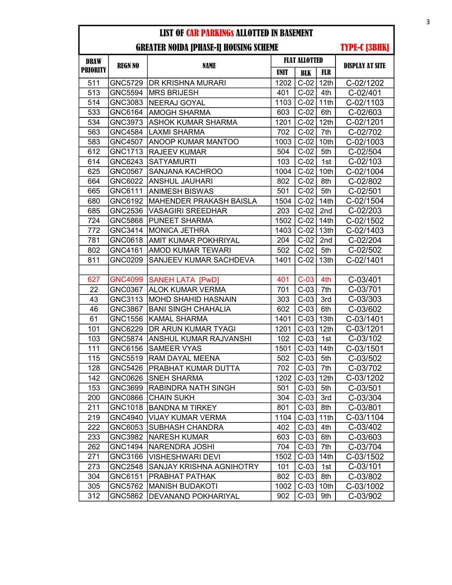| <b>DRAW</b>     | <b>REGN NO</b> | <b>NAME</b>                 |      | <b>FLAT ALLOTTED</b> |                  | <b>DISPLAY AT SITE</b> |
|-----------------|----------------|-----------------------------|------|----------------------|------------------|------------------------|
| <b>PRIORITY</b> |                |                             | UNIT | <b>BLK</b>           | FLR              |                        |
| 511             |                | GNC5729   DR KRISHNA MURARI | 1202 | $C-02$               | 12 <sub>th</sub> | C-02/1202              |
| 513             | <b>GNC5594</b> | MRS BRIJESH                 | 401  | $C-02$               | 4th              | C-02/401               |
| 514             | GNC3083        | <b>NEERAJ GOYAL</b>         | 1103 | $C-02$               | 11th             | C-02/1103              |
| 533             | GNC6164        | <b>AMOGH SHARMA</b>         | 603  | $C-02$               | 6th              | C-02/603               |
| 534             | GNC3973        | <b>ASHOK KUMAR SHARMA</b>   | 1201 | $C-02$               | 12th             | C-02/1201              |
| 563             | <b>GNC4584</b> | LAXMI SHARMA                | 702  | $C-02$               | 7th              | C-02/702               |
| 583             | <b>GNC4507</b> | <b>ANOOP KUMAR MANTOO</b>   | 1003 | $C-02$               | 10th             | C-02/1003              |
| 612             | GNC1713        | <b>RAJEEV KUMAR</b>         | 504  | $C-02$               | 5th              | C-02/504               |
| 614             | GNC6243        | <b>SATYAMURTI</b>           | 103  | $C-02$               | 1st              | C-02/103               |
| 625             | GNC0567        | SANJANA KACHROO             | 1004 | $C-02$               | 10th             | C-02/1004              |
| 664             | GNC6022        | <b>ANSHUL JAUHARI</b>       | 802  | $C-02$               | 8th              | C-02/802               |
| 665             | GNC6111        | ANIMESH BISWAS              | 501  | $C-02$               | 5th              | C-02/501               |
| 680             | GNC6192        | MAHENDER PRAKASH BAISLA     | 1504 | $C-02$               | 14th             | C-02/1504              |
| 685             | GNC2536        | <b>VASAGIRI SREEDHAR</b>    | 203  | $C-02$               | 2nd              | C-02/203               |
| 724             | GNC5868        | PUNEET SHARMA               | 1502 | $C-02$               | 14th             | C-02/1502              |
| 772             | GNC3414        | <b>MONICA JETHRA</b>        | 1403 | $C-02$               | 13th             | C-02/1403              |
| 781             | GNC0618        | AMIT KUMAR POKHRIYAL        | 204  | $C-02$               | 2nd              | C-02/204               |
| 802             | GNC4161        | AMOD KUMAR TEWARI           | 502  | $C-02$               | 5th              | C-02/502               |
| 811             | <b>GNC0209</b> | SANJEEV KUMAR SACHDEVA      | 1401 | $C-02$               | 13th             | C-02/1401              |
|                 |                |                             |      |                      |                  |                        |
| 627             | <b>GNC4099</b> | <b>SANEH LATA [PwD]</b>     | 401  | $C-03$               | 4th              | C-03/401               |
| 22              | GNC0367        | <b>ALOK KUMAR VERMA</b>     | 701  | $C-03$               | 7th              | C-03/701               |
| 43              | GNC3113        | <b>MOHD SHAHID HASNAIN</b>  | 303  | $C-03$               | 3rd              | $C - 03/303$           |
| 46              | GNC3867        | <b>BANI SINGH CHAHALIA</b>  | 602  | $C-03$               | 6th              | C-03/602               |
| 61              | <b>GNC1556</b> | <b>KAMAL SHARMA</b>         | 1401 | $C-03$               | 13th             | C-03/1401              |
| 101             | GNC6229        | DR ARUN KUMAR TYAGI         | 1201 | $C-03$               | 12 <sub>th</sub> | C-03/1201              |
| 103             | <b>GNC5874</b> | ANSHUL KUMAR RAJVANSHI      | 102  | $C-03$               | 1st              | C-03/102               |
| 111             | GNC6156        | <b>SAMEER VYAS</b>          | 1501 | $C-03$               | 14 <sub>th</sub> | C-03/1501              |
| 115             | GNC5519        | RAM DAYAL MEENA             | 502  | $C-03$               | 5th              | C-03/502               |
| 128             | <b>GNC5426</b> | PRABHAT KUMAR DUTTA         | 702  | $C-03$               | 7th              | C-03/702               |
| 142             | GNC0626        | <b>SNEH SHARMA</b>          | 1202 | $C-03$ 12th          |                  | C-03/1202              |
| 153             | GNC3699        | <b>RABINDRA NATH SINGH</b>  | 501  | $C-03$               | 5th              | C-03/501               |
| 200             | GNC0866        | <b>CHAIN SUKH</b>           | 304  | $C-03$               | 3rd              | C-03/304               |
| 211             | GNC1018        | <b>BANDNA M TIRKEY</b>      | 801  | $C-03$               | 8th              | C-03/801               |
| 219             | GNC4940        | <b>VIJAY KUMAR VERMA</b>    | 1104 | $C-03$               | 11th             | C-03/1104              |
| 222             | GNC6053        | SUBHASH CHANDRA             | 402  | $C-03$               | 4th              | C-03/402               |
| 233             | GNC3982        | <b>NARESH KUMAR</b>         | 603  | $C-03$               | 6th              | C-03/603               |
| 262             | GNC1494        | <b>NARENDRA JOSHI</b>       | 704  | $C-03$               | 7th              | C-03/704               |
| 271             | GNC3166        | <b>VISHESHWARI DEVI</b>     | 1502 | $C-03$               | 14th             | C-03/1502              |
| 273             | <b>GNC2548</b> | SANJAY KRISHNA AGNIHOTRY    | 101  | $C-03$               | 1st              | $C-03/101$             |
| 304             | GNC6151        | PRABHAT PATHAK              | 802  | $C-03$               | 8th              | C-03/802               |
| 305             | GNC5762        | <b>MANISH BUDAKOTI</b>      | 1002 | $C-03$               | 10th             | C-03/1002              |
| 312             | GNC5862        | DEVANAND POKHARIYAL         | 902  | $C-03$               | 9th              | C-03/902               |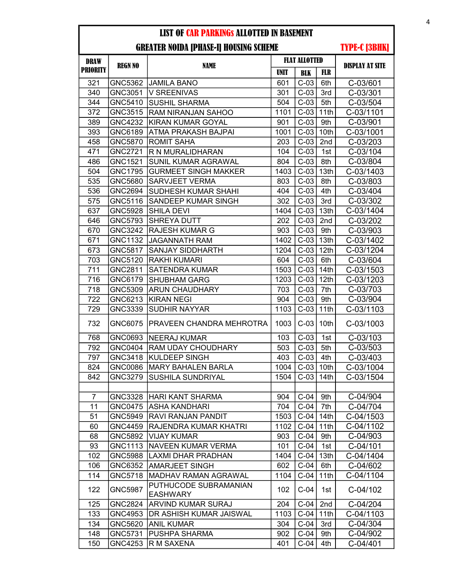| <b>DRAW</b>     |                |                                          |             | <b>FLAT ALLOTTED</b> |                  | <b>DISPLAY AT SITE</b> |
|-----------------|----------------|------------------------------------------|-------------|----------------------|------------------|------------------------|
| <b>PRIORITY</b> | <b>REGN NO</b> | <b>NAME</b>                              | <b>UNIT</b> | <b>BLK</b>           | <b>FLR</b>       |                        |
| 321             | <b>GNC5362</b> | JAMILA BANO                              | 601         | $C-03$               | 6th              | C-03/601               |
| 340             | GNC3051        | <b>V SREENIVAS</b>                       | 301         | $C-03$               | 3rd              | $C-03/301$             |
| 344             | GNC5410        | <b>SUSHIL SHARMA</b>                     | 504         | $C-03$               | 5th              | C-03/504               |
| 372             | <b>GNC3515</b> | <b>RAM NIRANJAN SAHOO</b>                | 1101        | $C-03$               | 11th             | C-03/1101              |
| 389             | <b>GNC4232</b> | <b>KIRAN KUMAR GOYAL</b>                 | 901         | $C-03$               | 9th              | C-03/901               |
| 393             | GNC6189        | ATMA PRAKASH BAJPAI                      | 1001        | $C-03$               | 10th             | C-03/1001              |
| 458             | GNC5870        | <b>ROMIT SAHA</b>                        | 203         | $C-03$               | 2nd              | C-03/203               |
| 471             | <b>GNC2721</b> | R N MURALIDHARAN                         | 104         | $C-03$               | 1st              | C-03/104               |
| 486             | <b>GNC1521</b> | SUNIL KUMAR AGRAWAL                      | 804         | $C-03$               | 8th              | C-03/804               |
| 504             | <b>GNC1795</b> | <b>GURMEET SINGH MAKKER</b>              | 1403        | $C-03$               | 13th             | C-03/1403              |
| 535             | GNC5680        | <b>SARVJEET VERMA</b>                    | 803         | $C-03$               | 8th              | C-03/803               |
| 536             | GNC2694        | SUDHESH KUMAR SHAHI                      | 404         | $C-03$               | 4th              | C-03/404               |
| 575             | GNC5116        | SANDEEP KUMAR SINGH                      | 302         | $C-03$               | 3rd              | C-03/302               |
| 637             | <b>GNC5928</b> | <b>SHILA DEVI</b>                        | 1404        | $C-03$               | 13th             | C-03/1404              |
| 646             | <b>GNC5793</b> | <b>SHREYA DUTT</b>                       | 202         | $C-03$               | 2nd              | C-03/202               |
| 670             | <b>GNC3242</b> | <b>RAJESH KUMAR G</b>                    | 903         | $C-03$               | 9th              | C-03/903               |
| 671             | <b>GNC1132</b> | <b>JAGANNATH RAM</b>                     | 1402        | $C-03$               | 13th             | C-03/1402              |
| 673             | <b>GNC5817</b> | <b>SANJAY SIDDHARTH</b>                  | 1204        | $C-03$               | 12 <sub>th</sub> | C-03/1204              |
| 703             | GNC5120        | RAKHI KUMARI                             | 604         | $C-03$               | 6th              | C-03/604               |
| 711             | GNC2811        | <b>SATENDRA KUMAR</b>                    | 1503        | $C-03$               | 14th             | C-03/1503              |
| 716             | GNC6179        | <b>SHUBHAM GARG</b>                      | 1203        | $C-03$               | 12th             | C-03/1203              |
| 718             | GNC5309        | <b>ARUN CHAUDHARY</b>                    | 703         | $C-03$               | 7th              | C-03/703               |
| 722             | GNC6213        | <b>KIRAN NEGI</b>                        | 904         | $C-03$               | 9th              | C-03/904               |
| 729             | GNC3339        | <b>SUDHIR NAYYAR</b>                     | 1103        | $C-03$               | 11th             | C-03/1103              |
| 732             | GNC6075        | PRAVEEN CHANDRA MEHROTRA                 | 1003        | $C-03$               | 10th             | C-03/1003              |
| 768             | GNC0693        | NEERAJ KUMAR                             | 103         | $C-03$               | 1st              | $C-03/103$             |
| 792             | <b>GNC0404</b> | <b>RAM UDAY CHOUDHARY</b>                | 503         | $C-03$               | 5th              | C-03/503               |
| 797             | GNC3418        | <b>KULDEEP SINGH</b>                     | 403         | $C-03$               | 4th              | C-03/403               |
| 824             | <b>GNC0086</b> | <b>MARY BAHALEN BARLA</b>                | 1004        | $C-03$               | 10th             | C-03/1004              |
| 842             | GNC3279        | <b>SUSHILA SUNDRIYAL</b>                 | 1504        | $C-03$               | 14th             | C-03/1504              |
|                 |                |                                          |             |                      |                  |                        |
| $\overline{7}$  | <b>GNC3328</b> | HARI KANT SHARMA                         | 904         | $C-04$               | 9th              | C-04/904               |
| 11              | <b>GNC0475</b> | ASHA KANDHARI                            | 704         | $C-04$               | 7th              | C-04/704               |
| 51              | GNC5949        | RAVI RANJAN PANDIT                       | 1503        | $C-04$               | 14th             | C-04/1503              |
| 60              | <b>GNC4459</b> | RAJENDRA KUMAR KHATRI                    | 1102        | $C-04$               | 11th             | C-04/1102              |
| 68              | GNC5892        | <b>VIJAY KUMAR</b>                       | 903         | $C-04$               | 9th              | C-04/903               |
| 93              | GNC1113        | <b>NAVEEN KUMAR VERMA</b>                | 101         | $C-04$               | 1st              | C-04/101               |
| 102             | GNC5988        | LAXMI DHAR PRADHAN                       | 1404        | $C-04$               | 13th             | C-04/1404              |
| 106             | GNC6352        | <b>AMARJEET SINGH</b>                    | 602         | $C-04$               | 6th              | C-04/602               |
| 114             | <b>GNC5718</b> | <b>MADHAV RAMAN AGRAWAL</b>              | 1104        | $C-04$               | 11th             | C-04/1104              |
| 122             | <b>GNC5987</b> | PUTHUCODE SUBRAMANIAN<br><b>EASHWARY</b> | 102         | $C-04$               | 1st              | C-04/102               |
| 125             | <b>GNC2824</b> | ARVIND KUMAR SURAJ                       | 204         | $C-04$               | 2nd              | C-04/204               |
| 133             | GNC4953        | DR ASHISH KUMAR JAISWAL                  | 1103        | $C-04$               | 11th             | C-04/1103              |
| 134             | GNC5620        | <b>ANIL KUMAR</b>                        | 304         | $C-04$               | 3rd              | C-04/304               |
| 148             | GNC5731        | <b>PUSHPA SHARMA</b>                     | 902         | $C-04$               | 9th              | C-04/902               |
| 150             | <b>GNC4253</b> | R M SAXENA                               | 401         | $C-04$               | 4th              | C-04/401               |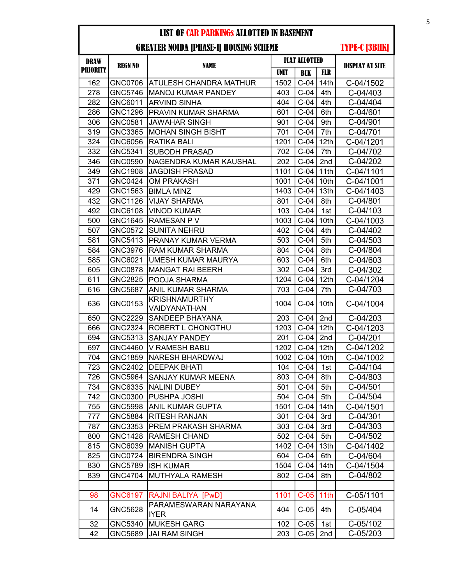GREATER NOIDA [PHASE-I] HOUSING SCHEME

| <b>DRAW</b>     | <b>REGN NO</b> | <b>NAME</b>                          | <b>FLAT ALLOTTED</b> |            |                  | <b>DISPLAY AT SITE</b> |
|-----------------|----------------|--------------------------------------|----------------------|------------|------------------|------------------------|
| <b>PRIORITY</b> |                |                                      | <b>UNIT</b>          | <b>BLK</b> | <b>FLR</b>       |                        |
| 162             |                | GNC0706 ATULESH CHANDRA MATHUR       | 1502                 | $C-04$     | 14th             | C-04/1502              |
| 278             | GNC5746        | <b>IMANOJ KUMAR PANDEY</b>           | 403                  | $C-04$     | 4th              | C-04/403               |
| 282             | GNC6011        | <b>ARVIND SINHA</b>                  | 404                  | $C-04$     | 4th              | C-04/404               |
| 286             | <b>GNC1296</b> | <b>PRAVIN KUMAR SHARMA</b>           | 601                  | $C-04$     | 6th              | C-04/601               |
| 306             | GNC0581        | <b>JAWAHAR SINGH</b>                 | 901                  | $C-04$     | 9th              | C-04/901               |
| 319             | GNC3365        | IMOHAN SINGH BISHT                   | 701                  | $C-04$     | 7th              | C-04/701               |
| 324             | GNC6056        | <b>RATIKA BALI</b>                   | 1201                 | $C-04$     | 12th             | C-04/1201              |
| 332             | GNC5341        | <b>SUBODH PRASAD</b>                 | 702                  | $C-04$     | 7th              | C-04/702               |
| 346             | GNC0590        | NAGENDRA KUMAR KAUSHAL               | 202                  | $C-04$     | 2nd              | C-04/202               |
| 349             | <b>GNC1908</b> | <b>JAGDISH PRASAD</b>                | 1101                 | $C-04$     | 11th             | C-04/1101              |
| 371             | GNC0424        | <b>OM PRAKASH</b>                    | 1001                 | $C-04$     | 10th             | C-04/1001              |
| 429             | GNC1563        | <b>BIMLA MINZ</b>                    | 1403                 | $C-04$     | 13th             | C-04/1403              |
| 432             | <b>GNC1126</b> | <b>VIJAY SHARMA</b>                  | 801                  | $C-04$     | 8th              | C-04/801               |
| 492             | GNC6108        | <b>VINOD KUMAR</b>                   | 103                  | $C-04$     | 1st              | C-04/103               |
| 500             | GNC1645        | <b>RAMESAN PV</b>                    | 1003                 | $C-04$     | 10th             | C-04/1003              |
| 507             | GNC0572        | <b>SUNITA NEHRU</b>                  | 402                  | $C-04$     | 4th              | C-04/402               |
| 581             | GNC5413        | <b>PRANAY KUMAR VERMA</b>            | 503                  | $C-04$     | 5th              | C-04/503               |
| 584             | <b>GNC3976</b> | <b>RAM KUMAR SHARMA</b>              | 804                  | $C-04$     | 8th              | C-04/804               |
| 585             | GNC6021        | <b>UMESH KUMAR MAURYA</b>            | 603                  | $C-04$     | 6th              | C-04/603               |
| 605             | <b>GNC0878</b> | MANGAT RAI BEERH                     | 302                  | $C-04$     | 3rd              | C-04/302               |
| 611             | <b>GNC2825</b> | POOJA SHARMA                         | 1204                 | $C-04$     | 12th             | C-04/1204              |
| 616             | <b>GNC5687</b> | <b>ANIL KUMAR SHARMA</b>             | 703                  | $C-04$     | 7th              | C-04/703               |
| 636             | GNC0153        | <b>KRISHNAMURTHY</b><br>VAIDYANATHAN | 1004                 | $C-04$     | 10th             | C-04/1004              |
| 650             | <b>GNC2229</b> | SANDEEP BHAYANA                      | 203                  | $C-04$     | 2nd              | C-04/203               |
| 666             | <b>GNC2324</b> | <b>ROBERT L CHONGTHU</b>             | 1203                 | $C-04$     | 12 <sub>th</sub> | C-04/1203              |
| 694             | GNC5313        | <b>SANJAY PANDEY</b>                 | 201                  | $C-04$     | 2nd              | C-04/201               |
| 697             | GNC4460        | V RAMESH BABU                        | 1202                 | $C-04$     | 12 <sup>th</sup> | C-04/1202              |
| 704             | GNC1859        | <b>NARESH BHARDWAJ</b>               | 1002                 | $C-04$     | 10th             | C-04/1002              |
| 723             | <b>GNC2402</b> | <b>DEEPAK BHATI</b>                  | 104                  | $C-04$     | 1st              | C-04/104               |
| 726             | <b>GNC5964</b> | SANJAY KUMAR MEENA                   | 803                  | $C-04$     | 8th              | C-04/803               |
| 734             |                | GNC6335 NALINI DUBEY                 | 501                  | $C-04$     | 5th              | C-04/501               |
| 742             | GNC0300        | PUSHPA JOSHI                         | 504                  | $C-04$     | 5th              | C-04/504               |
| 755             | GNC5998        | ANIL KUMAR GUPTA                     | 1501                 | $C-04$     | 14 <sub>th</sub> | C-04/1501              |
| 777             | GNC5884        | <b>RITESH RANJAN</b>                 | 301                  | $C-04$     | 3rd              | C-04/301               |
| 787             | GNC3353        | <b>PREM PRAKASH SHARMA</b>           | 303                  | $C-04$     | 3rd              | C-04/303               |
| 800             | <b>GNC1428</b> | <b>RAMESH CHAND</b>                  | 502                  | $C-04$     | 5th              | C-04/502               |
| 815             | GNC6039        | <b>MANISH GUPTA</b>                  | 1402                 | $C-04$     | 13 <sub>th</sub> | C-04/1402              |
| 825             | GNC0724        | <b>BIRENDRA SINGH</b>                | 604                  | $C-04$     | 6th              | C-04/604               |
| 830             | <b>GNC5789</b> | <b>ISH KUMAR</b>                     | 1504                 | $C-04$     | 14 <sub>th</sub> | C-04/1504              |
| 839             | GNC4704        | <b>MUTHYALA RAMESH</b>               | 802                  | $C-04$     | 8th              | C-04/802               |
|                 |                |                                      |                      |            |                  |                        |
| 98              | GNC6197        | RAJNI BALIYA [PwD]                   | 1101                 | $C-05$     | 11th             | C-05/1101              |
| 14              | GNC5628        | PARAMESWARAN NARAYANA<br><b>IYER</b> | 404                  | $C-05$     | 4th              | C-05/404               |
| 32              | GNC5340        | <b>MUKESH GARG</b>                   | 102                  | $C-05$     | 1st              | C-05/102               |
| 42              | GNC5689        | <b>JAI RAM SINGH</b>                 | 203                  | $C-05$     | 2nd              | C-05/203               |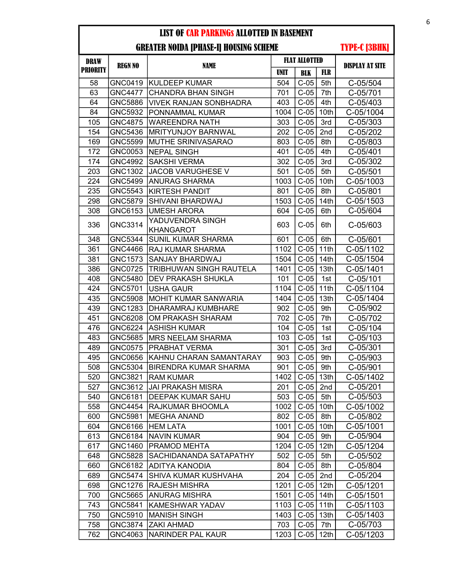| <b>DRAW</b>     | <b>REGN NO</b> | <b>NAME</b>                          | <b>FLAT ALLOTTED</b> |            |                  | <b>DISPLAY AT SITE</b> |
|-----------------|----------------|--------------------------------------|----------------------|------------|------------------|------------------------|
| <b>PRIORITY</b> |                |                                      | <b>UNIT</b>          | <b>BLK</b> | <b>FLR</b>       |                        |
| 58              | <b>GNC0419</b> | <b>KULDEEP KUMAR</b>                 | 504                  | $C-05$     | 5th              | C-05/504               |
| 63              | <b>GNC4477</b> | <b>CHANDRA BHAN SINGH</b>            | 701                  | $C-05$     | 7th              | C-05/701               |
| 64              | GNC5886        | VIVEK RANJAN SONBHADRA               | 403                  | $C-05$     | 4th              | C-05/403               |
| 84              | GNC5932        | PONNAMMAL KUMAR                      | 1004                 | $C-05$     | 10th             | C-05/1004              |
| 105             | GNC4875        | <b>WAREENDRA NATH</b>                | 303                  | $C-05$     | 3rd              | C-05/303               |
| 154             | GNC5436        | IMRITYUNJOY BARNWAL                  | 202                  | $C-05$     | 2nd              | C-05/202               |
| 169             | GNC5599        | <b>MUTHE SRINIVASARAO</b>            | 803                  | $C-05$     | 8th              | C-05/803               |
| 172             | GNC0053        | <b>NEPAL SINGH</b>                   | 401                  | $C-05$     | 4th              | $C - 05/401$           |
| 174             | <b>GNC4992</b> | <b>SAKSHI VERMA</b>                  | 302                  | $C-05$     | 3rd              | C-05/302               |
| 203             | GNC1302        | <b>JACOB VARUGHESE V</b>             | 501                  | $C-05$     | 5th              | $C - 05/501$           |
| 224             | GNC5499        | <b>ANURAG SHARMA</b>                 | 1003                 | $C-05$     | 10th             | C-05/1003              |
| 235             | GNC5543        | <b>KIRTESH PANDIT</b>                | 801                  | $C-05$     | 8th              | $C - 05/801$           |
| 298             | <b>GNC5879</b> | SHIVANI BHARDWAJ                     | 1503                 | $C-05$     | 14th             | C-05/1503              |
| 308             | GNC6153        | <b>UMESH ARORA</b>                   | 604                  | $C-05$     | 6th              | C-05/604               |
| 336             | GNC3314        | YADUVENDRA SINGH<br><b>KHANGAROT</b> | 603                  | $C-05$     | 6th              | C-05/603               |
| 348             | <b>GNC5344</b> | <b>SUNIL KUMAR SHARMA</b>            | 601                  | $C-05$     | 6th              | C-05/601               |
| 361             | <b>GNC4466</b> | <b>RAJ KUMAR SHARMA</b>              | 1102                 | $C-05$     | 11th             | C-05/1102              |
| 381             | GNC1573        | SANJAY BHARDWAJ                      | 1504                 | $C-05$     | 14th             | C-05/1504              |
| 386             | <b>GNC0725</b> | TRIBHUWAN SINGH RAUTELA              | 1401                 | $C-05$     | 13th             | C-05/1401              |
| 408             | GNC5480        | <b>DEV PRAKASH SHUKLA</b>            | 101                  | $C-05$     | 1st              | C-05/101               |
| 424             | GNC5701        | <b>USHA GAUR</b>                     | 1104                 | $C-05$     | 11th             | C-05/1104              |
| 435             | <b>GNC5908</b> | <b>MOHIT KUMAR SANWARIA</b>          | 1404                 | $C-05$     | 13th             | C-05/1404              |
| 439             | <b>GNC1283</b> | DHARAMRAJ KUMBHARE                   | 902                  | $C-05$     | 9th              | C-05/902               |
| 451             | GNC6208        | OM PRAKASH SHARAM                    | 702                  | $C-05$     | 7th              | C-05/702               |
| 476             | GNC6224        | <b>ASHISH KUMAR</b>                  | 104                  | $C-05$     | 1st              | C-05/104               |
| 483             | <b>GNC5685</b> | <b>MRS NEELAM SHARMA</b>             | 103                  | $C-05$     | 1st              | $C - 05/103$           |
| 489             | <b>GNC0575</b> | <b>PRABHAT VERMA</b>                 | 301                  | $C-05$     | 3rd              | $C - 05/301$           |
| 495             | GNC0656        | KAHNU CHARAN SAMANTARAY              | 903                  | $C-05$     | 9th              | C-05/903               |
| 508             | GNC5304        | <b>BIRENDRA KUMAR SHARMA</b>         | 901                  | $C-05$     | 9th              | C-05/901               |
| 520             | GNC3821        | <b>RAM KUMAR</b>                     | 1402                 | $C-05$     | 13th             | C-05/1402              |
| 527             | GNC3612        | JAI PRAKASH MISRA                    | 201                  | $C-05$     | 2nd              | C-05/201               |
| 540             | GNC6181        | DEEPAK KUMAR SAHU                    | 503                  | $C-05$     | 5th              | C-05/503               |
| 558             | GNC4454        | RAJKUMAR BHOOMLA                     | 1002                 | $C-05$     | 10th             | C-05/1002              |
| 600             | GNC5981        | <b>MEGHA ANAND</b>                   | 802                  | $C-05$     | 8th              | C-05/802               |
| 604             | GNC6166        | <b>HEM LATA</b>                      | 1001                 | $C-05$     | 10th             | C-05/1001              |
| 613             | GNC6184        | <b>NAVIN KUMAR</b>                   | 904                  | $C-05$     | 9th              | C-05/904               |
| 617             | GNC1460        | <b>PRAMOD MEHTA</b>                  | 1204                 | $C-05$     | 12 <sub>th</sub> | C-05/1204              |
| 648             | GNC5828        | SACHIDANANDA SATAPATHY               | 502                  | $C-05$     | 5th              | C-05/502               |
| 660             | GNC6182        | ADITYA KANODIA                       | 804                  | $C-05$     | 8th              | C-05/804               |
| 689             | <b>GNC5474</b> | SHIVA KUMAR KUSHVAHA                 | 204                  | $C-05$     | 2nd              | C-05/204               |
| 698             | GNC1276        | <b>RAJESH MISHRA</b>                 | 1201                 | $C-05$     | 12 <sub>th</sub> | C-05/1201              |
| 700             | GNC5665        | <b>ANURAG MISHRA</b>                 | 1501                 | $C-05$     | 14th             | C-05/1501              |
| 743             | GNC5841        | KAMESHWAR YADAV                      | 1103                 | $C-05$     | 11th             | C-05/1103              |
| 750             | GNC5910        | <b>MANISH SINGH</b>                  | 1403                 | $C-05$     | 13 <sub>th</sub> | C-05/1403              |
| 758             | GNC3874        | <b>ZAKI AHMAD</b>                    | 703                  | $C-05$     | 7th              | C-05/703               |
| 762             | GNC4063        | <b>NARINDER PAL KAUR</b>             | 1203                 | $C-05$     | 12 <sub>th</sub> | C-05/1203              |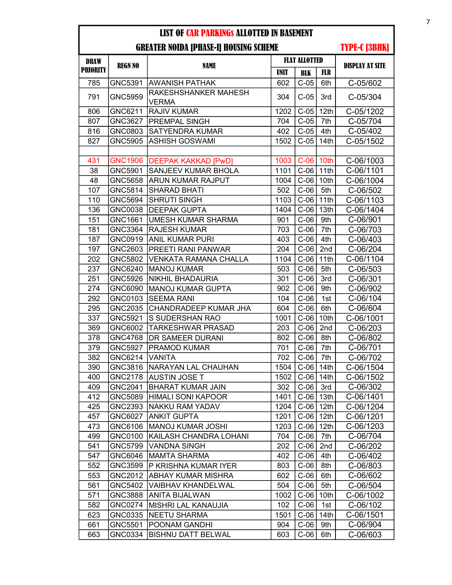| <b>DRAW</b>     |                |                                      | <b>FLAT ALLOTTED</b> |             |                  |                        |
|-----------------|----------------|--------------------------------------|----------------------|-------------|------------------|------------------------|
| <b>PRIORITY</b> | <b>REGN NO</b> | <b>NAME</b>                          | <b>UNIT</b>          | <b>BLK</b>  | <b>FLR</b>       | <b>DISPLAY AT SITE</b> |
| 785             | GNC5391        | AWANISH PATHAK                       | 602                  | $C-05$      | 6th              | C-05/602               |
| 791             | <b>GNC5959</b> | RAKESHSHANKER MAHESH<br><b>VERMA</b> | 304                  | $C-05$      | 3rd              | $C - 05/304$           |
| 806             | GNC6211        | <b>RAJIV KUMAR</b>                   | 1202                 | $C-05$      | 12th             | C-05/1202              |
| 807             | <b>GNC3627</b> | <b>PREMPAL SINGH</b>                 | 704                  | $C-05$      | 7th              | C-05/704               |
| 816             | GNC0803        | <b>SATYENDRA KUMAR</b>               | 402                  | $C-05$      | 4th              | C-05/402               |
| 827             | GNC5905        | <b>ASHISH GOSWAMI</b>                | 1502                 | $C-05$      | 14th             | C-05/1502              |
|                 |                |                                      |                      |             |                  |                        |
| 431             | <b>GNC1906</b> | <b>DEEPAK KAKKAD [PwD]</b>           | 1003                 | $C-06$ 10th |                  | C-06/1003              |
| 38              | GNC5901        | SANJEEV KUMAR BHOLA                  | 1101                 | $C-06$      | 11th             | C-06/1101              |
| 48              | <b>GNC5658</b> | <b>ARUN KUMAR RAJPUT</b>             | 1004                 | $C-06$      | 10th             | C-06/1004              |
| 107             | GNC5814        | <b>SHARAD BHATI</b>                  | 502                  | $C-06$      | 5th              | C-06/502               |
| 110             | <b>GNC5694</b> | SHRUTI SINGH                         | 1103                 | $C-06$ 11th |                  | C-06/1103              |
| 136             | GNC0038        | DEEPAK GUPTA                         | 1404                 | $C-06$      | 13th             | C-06/1404              |
| 151             | GNC1661        | <b>UMESH KUMAR SHARMA</b>            | 901                  | $C-06$      | 9th              | C-06/901               |
| 181             | GNC3364        | <b>RAJESH KUMAR</b>                  | 703                  | $C-06$      | 7th              | C-06/703               |
| 187             | GNC0919        | <b>ANIL KUMAR PURI</b>               | 403                  | $C-06$      | 4th              | C-06/403               |
| 197             | GNC2603        | PREETI RANI PANWAR                   | 204                  | $C-06$      | 2nd              | C-06/204               |
| 202             | GNC5802        | <b>VENKATA RAMANA CHALLA</b>         | 1104                 | $C-06$      | 11th             | C-06/1104              |
| 237             | GNC6240        | <b>MANOJ KUMAR</b>                   | 503                  | $C-06$      | 5th              | C-06/503               |
| 251             | <b>GNC5926</b> | <b>NIKHIL BHADAURIA</b>              | 301                  | $C-06$      | 3rd              | C-06/301               |
| 274             | GNC6090        | <b>MANOJ KUMAR GUPTA</b>             | 902                  | $C-06$      | 9th              | C-06/902               |
| 292             | GNC0103        | <b>SEEMA RANI</b>                    | 104                  | $C-06$      | 1st              | C-06/104               |
| 295             | GNC2035        | CHANDRADEEP KUMAR JHA                | 604                  | $C-06$      | 6th              | C-06/604               |
| 337             | GNC5921        | S SUDERSHAN RAO                      | 1001                 | $C-06$      | 10th             | C-06/1001              |
| 369             | GNC6002        | <b>TARKESHWAR PRASAD</b>             | 203                  | $C-06$      | 2nd              | C-06/203               |
| 378             | <b>GNC4768</b> | DR SAMEER DURANI                     | 802                  | $C-06$      | 8th              | C-06/802               |
| 379             | <b>GNC5927</b> | <b>PRAMOD KUMAR</b>                  | 701                  | $C-06$      | 7th              | C-06/701               |
| 382             | GNC6214        | <b>VANITA</b>                        | 702                  | $C-06$      | 7th              | C-06/702               |
| 390             | GNC3816        | NARAYAN LAL CHAUHAN                  | 1504                 | $C-06$      | 14th             | C-06/1504              |
| 400             | <b>GNC2178</b> | <b>AUSTIN JOSE T</b>                 | 1502                 | $C-06$      | 14th             | C-06/1502              |
| 409             | GNC2041        | <b>BHARAT KUMAR JAIN</b>             | 302                  | $C-06$      | 3rd              | C-06/302               |
| 412             | GNC5089        | <b>HIMALI SONI KAPOOR</b>            | 1401                 | $C-06$      | 13th             | C-06/1401              |
| 425             | GNC2393        | <b>NAKKU RAM YADAV</b>               | 1204                 | $C-06$      | 12th             | C-06/1204              |
| 457             | GNC6027        | <b>ANKIT GUPTA</b>                   | 1201                 | $C-06$      | 12th             | C-06/1201              |
| 473             | GNC6106        | MANOJ KUMAR JOSHI                    | 1203                 | $C-06$      | 12 <sub>th</sub> | C-06/1203              |
| 499             | GNC0100        | KAILASH CHANDRA LOHANI               | 704                  | $C-06$      | 7th              | C-06/704               |
| 541             | GNC5799        | <b>VANDNA SINGH</b>                  | 202                  | $C-06$      | 2nd              | C-06/202               |
| 547             | GNC6046        | <b>MAMTA SHARMA</b>                  | 402                  | $C-06$      | 4th              | C-06/402               |
| 552             | GNC3599        | P KRISHNA KUMAR IYER                 | 803                  | $C-06$      | 8th              | C-06/803               |
| 553             | GNC2012        | ABHAY KUMAR MISHRA                   | 602                  | $C-06$      | 6th              | C-06/602               |
| 561             | GNC5402        | <b>VAIBHAV KHANDELWAL</b>            | 504                  | $C-06$      | 5th              | C-06/504               |
| 571             | GNC3888        | ANITA BIJALWAN                       | 1002                 | $C-06$      | 10th             | C-06/1002              |
| 582             | GNC0274        | <b>MISHRI LAL KANAUJIA</b>           | 102                  | $C-06$      | 1st              | C-06/102               |
| 623             | GNC0335        | <b>NEETU SHARMA</b>                  | 1501                 | $C-06$      | 14th             | C-06/1501              |
| 661             | GNC5501        | POONAM GANDHI                        | 904                  | $C-06$      | 9th              | C-06/904               |
| 663             | GNC0334        | <b>BISHNU DATT BELWAL</b>            | 603                  | $C-06$      | 6th              | C-06/603               |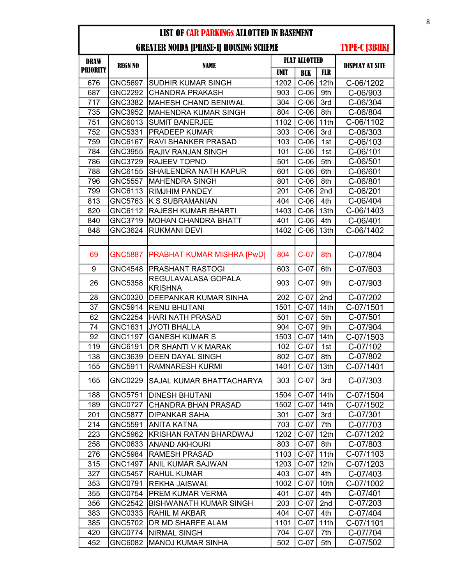## GREATER NOIDA [PHASE-I] HOUSING SCHEME

| <b>DRAW</b>      |                |                                       | <b>FLAT ALLOTTED</b> |            |                  |                        |  |
|------------------|----------------|---------------------------------------|----------------------|------------|------------------|------------------------|--|
| <b>PRIORITY</b>  | <b>REGN NO</b> | <b>NAME</b>                           | <b>UNIT</b>          | <b>BLK</b> | <b>FLR</b>       | <b>DISPLAY AT SITE</b> |  |
| 676              | <b>GNC5697</b> | SUDHIR KUMAR SINGH                    | 1202                 | $C-06$     | 12th             | C-06/1202              |  |
| 687              | <b>GNC2292</b> | <b>CHANDRA PRAKASH</b>                | 903                  | $C-06$     | 9th              | C-06/903               |  |
| 717              | GNC3382        | <b>MAHESH CHAND BENIWAL</b>           | 304                  | $C-06$     | 3rd              | C-06/304               |  |
| 735              | <b>GNC3952</b> | <b>MAHENDRA KUMAR SINGH</b>           | 804                  | $C-06$     | 8th              | C-06/804               |  |
| 751              | GNC6013        | <b>SUMIT BANERJEE</b>                 | 1102                 | $C-06$     | 11th             | C-06/1102              |  |
| 752              | GNC5331        | <b>PRADEEP KUMAR</b>                  | 303                  | $C-06$     | 3rd              | C-06/303               |  |
| 759              | GNC6167        | <b>RAVI SHANKER PRASAD</b>            | 103                  | $C-06$     | 1st              | C-06/103               |  |
| 784              | GNC3955        | <b>RAJIV RANJAN SINGH</b>             | 101                  | $C-06$     | 1st              | C-06/101               |  |
| 786              | <b>GNC3729</b> | <b>RAJEEV TOPNO</b>                   | 501                  | $C-06$     | 5th              | C-06/501               |  |
| 788              | GNC6155        | <b>SHAILENDRA NATH KAPUR</b>          | 601                  | $C-06$     | 6th              | C-06/601               |  |
| 796              | <b>GNC5557</b> | <b>MAHENDRA SINGH</b>                 | 801                  | $C-06$     | 8th              | C-06/801               |  |
| 799              | GNC6113        | <b>RIMJHIM PANDEY</b>                 | 201                  | $C-06$     | 2nd              | C-06/201               |  |
| 813              | GNC5763        | <b>K S SUBRAMANIAN</b>                | 404                  | $C-06$     | 4th              | C-06/404               |  |
| 820              | GNC6112        | <b>RAJESH KUMAR BHARTI</b>            | 1403                 | $C-06$     | 13th             | C-06/1403              |  |
| 840              | <b>GNC3719</b> | <b>MOHAN CHANDRA BHATT</b>            | 401                  | $C-06$     | 4th              | C-06/401               |  |
| 848              | GNC3624        | <b>RUKMANI DEVI</b>                   | 1402                 | $C-06$     | 13th             | C-06/1402              |  |
|                  |                |                                       |                      |            |                  |                        |  |
| 69               | <b>GNC5887</b> | PRABHAT KUMAR MISHRA [PwD]            | 804                  | $C-07$     | 8th              | C-07/804               |  |
| $\boldsymbol{9}$ | <b>GNC4548</b> | <b>PRASHANT RASTOGI</b>               | 603                  | $C-07$     | 6th              | C-07/603               |  |
| 26               | <b>GNC5358</b> | REGULAVALASA GOPALA<br><b>KRISHNA</b> | 903                  | $C-07$     | 9th              | C-07/903               |  |
| 28               | GNC0320        | <b>DEEPANKAR KUMAR SINHA</b>          | 202                  | $C-07$     | 2nd              | C-07/202               |  |
| 37               | <b>GNC5914</b> | <b>RENU BHUTANI</b>                   | 1501                 | $C-07$     | 14 <sub>th</sub> | C-07/1501              |  |
| 62               | <b>GNC2254</b> | <b>HARI NATH PRASAD</b>               | 501                  | $C-07$     | 5th              | C-07/501               |  |
| 74               | GNC1631        | <b>JYOTI BHALLA</b>                   | 904                  | $C-07$     | 9th              | C-07/904               |  |
| 92               | <b>GNC1197</b> | <b>GANESH KUMAR S</b>                 | 1503                 | $C-07$     | 14th             | C-07/1503              |  |
| 119              | GNC6191        | DR SHANTI V K MARAK                   | 102                  | $C-07$     | 1st              | C-07/102               |  |
| 138              | GNC3639        | <b>DEEN DAYAL SINGH</b>               | 802                  | $C-07$     | 8th              | C-07/802               |  |
| 155              | GNC5911        | <b>RAMNARESH KURMI</b>                | 1401                 | $C-07$     | 13th             | C-07/1401              |  |
| 165              | <b>GNC0229</b> | SAJAL KUMAR BHATTACHARYA              | 303                  | $C-07$ 3rd |                  | C-07/303               |  |
| 188              | GNC5751        | DINESH BHUTANI                        | 1504                 | $C-07$     | 14th             | C-07/1504              |  |
| 189              | <b>GNC0727</b> | CHANDRA BHAN PRASAD                   | 1502                 | $C-07$     | 14th             | C-07/1502              |  |
| 201              | <b>GNC5877</b> | <b>DIPANKAR SAHA</b>                  | 301                  | $C-07$     | 3rd              | C-07/301               |  |
| 214              | GNC5591        | <b>ANITA KATNA</b>                    | 703                  | $C-07$     | 7th              | C-07/703               |  |
| 223              | GNC5962        | KRISHAN RATAN BHARDWAJ                | 1202                 | $C-07$     | 12 <sub>th</sub> | C-07/1202              |  |
| 258              | GNC0633        | <b>ANAND AKHOURI</b>                  | 803                  | $C-07$     | 8th              | C-07/803               |  |
| 276              | <b>GNC5984</b> | RAMESH PRASAD                         | 1103                 | $C-07$     | 11th             | C-07/1103              |  |
| 315              | <b>GNC1497</b> | ANIL KUMAR SAJWAN                     | 1203                 | $C-07$     | 12 <sub>th</sub> | C-07/1203              |  |
| 327              | GNC5457        | <b>RAHUL KUMAR</b>                    | 403                  | $C-07$     | 4th              | C-07/403               |  |
| 353              | GNC0791        | <b>REKHA JAISWAL</b>                  | 1002                 | $C-07$     | 10th             | C-07/1002              |  |
| 355              | <b>GNC0754</b> | <b>PREM KUMAR VERMA</b>               | 401                  | $C-07$     | 4th              | C-07/401               |  |
| 356              | <b>GNC2542</b> | BISHWANATH KUMAR SINGH                | 203                  | $C-07$     | 2nd              | C-07/203               |  |
| 383              | GNC0333        | <b>RAHIL M AKBAR</b>                  | 404                  | $C-07$     | 4th              | C-07/404               |  |
| 385              | GNC5702        | IDR MD SHARFE ALAM                    | 1101                 | $C-07$     | 11th             | C-07/1101              |  |
| 420              | GNC0774        | <b>NIRMAL SINGH</b>                   | 704                  | $C-07$     | 7th              | C-07/704               |  |
| 452              | GNC6082        | <b>MANOJ KUMAR SINHA</b>              | 502                  | $C-07$     | 5th              | C-07/502               |  |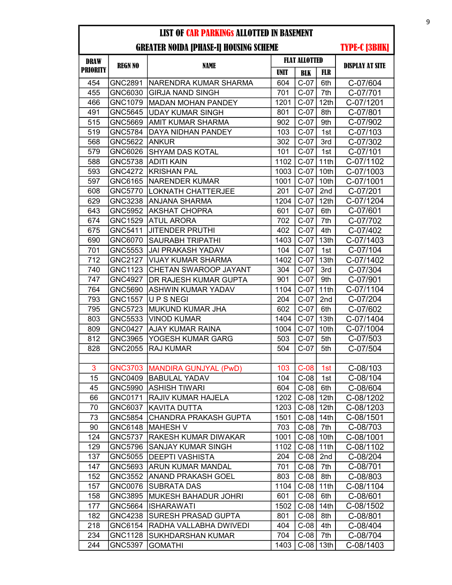#### GREATER NOIDA [PHASE-I] HOUSING SCHEME

| <b>DRAW</b>     |                |                                 | <b>FLAT ALLOTTED</b> |               |                  |                        |
|-----------------|----------------|---------------------------------|----------------------|---------------|------------------|------------------------|
| <b>PRIORITY</b> | <b>REGN NO</b> | <b>NAME</b>                     | <b>UNIT</b>          | <b>BLK</b>    | <b>FLR</b>       | <b>DISPLAY AT SITE</b> |
| 454             | GNC2891        | NARENDRA KUMAR SHARMA           | 604                  | $C-07$        | 6th              | C-07/604               |
| 455             | GNC6030        | <b>GIRJA NAND SINGH</b>         | 701                  | $C-07$        | 7th              | C-07/701               |
| 466             | GNC1079        | <b>MADAN MOHAN PANDEY</b>       | 1201                 | $C-07$        | 12th             | C-07/1201              |
| 491             | <b>GNC5645</b> | <b>UDAY KUMAR SINGH</b>         | 801                  | $C-07$        | 8th              | C-07/801               |
| 515             | GNC5669        | <b>AMIT KUMAR SHARMA</b>        | 902                  | $C-07$        | 9th              | C-07/902               |
| 519             | <b>GNC5784</b> | DAYA NIDHAN PANDEY              | 103                  | $C-07$        | 1st              | C-07/103               |
| 568             | GNC5622        | <b>ANKUR</b>                    | 302                  | $C-07$        | 3rd              | C-07/302               |
| 579             | GNC6026        | <b>SHYAM DAS KOTAL</b>          | 101                  | $C-07$        | 1st              | C-07/101               |
| 588             | <b>GNC5738</b> | <b>ADITI KAIN</b>               | 1102                 | $C-07$        | 11th             | C-07/1102              |
| 593             | <b>GNC4272</b> | <b>KRISHAN PAL</b>              | 1003                 | $C-07$        | 10th             | C-07/1003              |
| 597             | GNC6165        | <b>NARENDER KUMAR</b>           | 1001                 | $C-07$        | 10th             | C-07/1001              |
| 608             | <b>GNC5770</b> | <b>LOKNATH CHATTERJEE</b>       | 201                  | $C-07$        | 2nd              | C-07/201               |
| 629             | <b>GNC3238</b> | ANJANA SHARMA                   | 1204                 | $C-07$        | 12th             | C-07/1204              |
| 643             | GNC5952        | AKSHAT CHOPRA                   | 601                  | $C-07$        | 6th              | C-07/601               |
| 674             | GNC1529        | <b>ATUL ARORA</b>               | 702                  | $C-07$        | 7th              | C-07/702               |
| 675             | GNC5411        | <b>JITENDER PRUTHI</b>          | 402                  | $C-07$        | 4th              | C-07/402               |
| 690             | GNC6070        | <b>SAURABH TRIPATHI</b>         | 1403                 | $C-07$        | 13th             | C-07/1403              |
| 701             | GNC5553        | <b>JAI PRAKASH YADAV</b>        | 104                  | $C-07$        | 1st              | C-07/104               |
| 712             | <b>GNC2127</b> | <b>VIJAY KUMAR SHARMA</b>       | 1402                 | $C-07$        | 13th             | C-07/1402              |
| 740             | GNC1123        | CHETAN SWAROOP JAYANT           | 304                  | $C-07$        | 3rd              | C-07/304               |
| 747             | <b>GNC4927</b> | DR RAJESH KUMAR GUPTA           | 901                  | $C-07$        | 9th              | C-07/901               |
| 764             | GNC5690        | <b>ASHWIN KUMAR YADAV</b>       | 1104                 | $C-07$        | 11th             | C-07/1104              |
| 793             | <b>GNC1557</b> | <b>UPSNEGI</b>                  | 204                  | $C-07$        | 2nd              | C-07/204               |
| 795             | <b>GNC5723</b> | MUKUND KUMAR JHA                | 602                  | $C-07$        | 6th              | C-07/602               |
| 803             | GNC5533        | <b>VINOD KUMAR</b>              | 1404                 | $C-07$        | 13th             | C-07/1404              |
| 809             | <b>GNC0427</b> | <b>AJAY KUMAR RAINA</b>         | 1004                 | $C-07$        | 10th             | C-07/1004              |
| 812             | GNC3965        | YOGESH KUMAR GARG               | 503                  | $C-07$        | 5th              | C-07/503               |
| 828             | <b>GNC2055</b> | <b>RAJ KUMAR</b>                | 504                  | $C-07$        | 5th              | C-07/504               |
|                 |                |                                 |                      |               |                  |                        |
| 3               |                | GNC3703   MANDIRA GUNJYAL (PwD) | 103                  | $C-08$        | 1st              | C-08/103               |
| 15              | GNC0409        | <b>BABULAL YADAV</b>            | 104                  | $C-08$        | 1st              | C-08/104               |
| 45              | GNC5990        | <b>ASHISH TIWARI</b>            | 604                  | $C-08$        | 6th              | C-08/604               |
| 66              | GNC0171        | <b>RAJIV KUMAR HAJELA</b>       | 1202                 | $C-08$        | 12th             | C-08/1202              |
| 70              | GNC6037        | KAVITA DUTTA                    | 1203                 | $C-08$        | 12 <sub>th</sub> | C-08/1203              |
| 73              | GNC5854        | CHANDRA PRAKASH GUPTA           | 1501                 | $C-08$   14th |                  | C-08/1501              |
| 90              | GNC6148        | <b>MAHESH V</b>                 | 703                  | $C-08$        | 7th              | C-08/703               |
| 124             | <b>GNC5737</b> | RAKESH KUMAR DIWAKAR            | 1001                 | $C-08$        | 10th             | C-08/1001              |
| 129             | GNC5796        | SANJAY KUMAR SINGH              | 1102                 | $C-08$        | 11th             | C-08/1102              |
| 137             | GNC5055        | <b>DEEPTI VASHISTA</b>          | 204                  | $C-08$        | 2nd              | C-08/204               |
| 147             | GNC5693        | <b>ARUN KUMAR MANDAL</b>        | 701                  | $C-08$        | 7th              | C-08/701               |
| 152             | GNC3552        | <b>ANAND PRAKASH GOEL</b>       | 803                  | $C-08$        | 8th              | C-08/803               |
| 157             | GNC0076        | <b>SUBRATA DAS</b>              | 1104                 | $C-08$        | 11th             | C-08/1104              |
| 158             | GNC3895        | <b>MUKESH BAHADUR JOHRI</b>     | 601                  | $C-08$        | 6th              | C-08/601               |
| 177             | GNC5664        | <b>ISHARAWATI</b>               | 1502                 | $C-08$        | 14th             | C-08/1502              |
| 182             | GNC4238        | SURESH PRASAD GUPTA             | 801                  | $C-08$        | 8th              | C-08/801               |
| 218             | GNC6154        | RADHA VALLABHA DWIVEDI          | 404                  | $C-08$        | 4th              | C-08/404               |
| 234             | <b>GNC1128</b> | <b>SUKHDARSHAN KUMAR</b>        | 704                  | $C-08$        | 7th              | C-08/704               |
| 244             | GNC5397        | <b>GOMATHI</b>                  | 1403                 | $C-08$   13th |                  | C-08/1403              |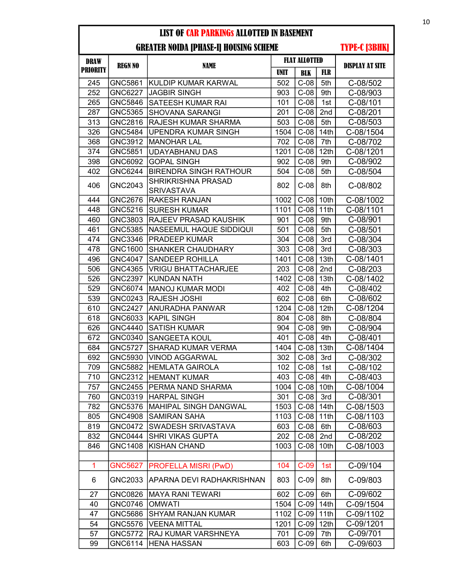| <b>DRAW</b>     |                |                                         |             | <b>FLAT ALLOTTED</b> |                  |                        |
|-----------------|----------------|-----------------------------------------|-------------|----------------------|------------------|------------------------|
| <b>PRIORITY</b> | <b>REGN NO</b> | <b>NAME</b>                             | <b>UNIT</b> | <b>BLK</b>           | <b>FLR</b>       | <b>DISPLAY AT SITE</b> |
| 245             | GNC5861        | KULDIP KUMAR KARWAL                     | 502         | $C-08$               | 5th              | C-08/502               |
| 252             | <b>GNC6227</b> | <b>JAGBIR SINGH</b>                     | 903         | $C-08$               | 9th              | C-08/903               |
| 265             | GNC5846        | <b>SATEESH KUMAR RAI</b>                | 101         | $C-08$               | 1st              | C-08/101               |
| 287             | <b>GNC5365</b> | <b>SHOVANA SARANGI</b>                  | 201         | $C-08$               | 2nd              | C-08/201               |
| 313             | <b>GNC2816</b> | <b>RAJESH KUMAR SHARMA</b>              | 503         | $C-08$               | 5th              | C-08/503               |
| 326             | <b>GNC5484</b> | UPENDRA KUMAR SINGH                     | 1504        | $C-08$               | 14 <sub>th</sub> | C-08/1504              |
| 368             | <b>GNC3912</b> | <b>MANOHAR LAL</b>                      | 702         | $C-08$               | 7th              | C-08/702               |
| 374             | <b>GNC5851</b> | <b>UDAYABHANU DAS</b>                   | 1201        | $C-08$               | 12 <sub>th</sub> | C-08/1201              |
| 398             | GNC6092        | <b>GOPAL SINGH</b>                      | 902         | $C-08$               | 9th              | C-08/902               |
| 402             | GNC6244        | <b>BIRENDRA SINGH RATHOUR</b>           | 504         | $C-08$               | 5th              | C-08/504               |
| 406             | GNC2043        | <b>SHRIKRISHNA PRASAD</b><br>SRIVASTAVA | 802         | $C-08$               | 8th              | C-08/802               |
| 444             | <b>GNC2676</b> | <b>RAKESH RANJAN</b>                    | 1002        | $C-08$               | 10th             | C-08/1002              |
| 448             | GNC5216        | <b>SURESH KUMAR</b>                     | 1101        | $C-08$               | 11th             | C-08/1101              |
| 460             | GNC3803        | <b>RAJEEV PRASAD KAUSHIK</b>            | 901         | $C-08$               | 9th              | C-08/901               |
| 461             | GNC5385        | <b>NASEEMUL HAQUE SIDDIQUI</b>          | 501         | $C-08$               | 5th              | C-08/501               |
| 474             | <b>GNC3346</b> | <b>PRADEEP KUMAR</b>                    | 304         | $C-08$               | 3rd              | C-08/304               |
| 478             | GNC1600        | <b>SHANKER CHAUDHARY</b>                | 303         | $C-08$               | 3rd              | C-08/303               |
| 496             | <b>GNC4047</b> | <b>SANDEEP ROHILLA</b>                  | 1401        | $C-08$               | 13th             | C-08/1401              |
| 506             | GNC4365        | <b>VRIGU BHATTACHARJEE</b>              | 203         | $C-08$               | 2nd              | C-08/203               |
| 526             | <b>GNC2397</b> | <b>KUNDAN NATH</b>                      | 1402        | $C-08$               | 13th             | C-08/1402              |
| 529             | GNC6074        | <b>MANOJ KUMAR MODI</b>                 | 402         | $C-08$               | 4th              | C-08/402               |
| 539             | GNC0243        | <b>RAJESH JOSHI</b>                     | 602         | $C-08$               | 6th              | C-08/602               |
| 610             | <b>GNC2427</b> | <b>ANURADHA PANWAR</b>                  | 1204        | $C-08$               | 12 <sub>th</sub> | C-08/1204              |
| 618             | GNC6033        | <b>KAPIL SINGH</b>                      | 804         | $C-08$               | 8th              | C-08/804               |
| 626             | <b>GNC4440</b> | <b>SATISH KUMAR</b>                     | 904         | $C-08$               | 9th              | C-08/904               |
| 672             | GNC0340        | <b>SANGEETA KOUL</b>                    | 401         | $C-08$               | 4th              | C-08/401               |
| 684             | <b>GNC5727</b> | <b>SHARAD KUMAR VERMA</b>               | 1404        | $C-08$               | 13th             | C-08/1404              |
| 692             | GNC5930        | <b>VINOD AGGARWAL</b>                   | 302         | $C-08$               | 3rd              | C-08/302               |
| 709             | GNC5882        | <b>HEMLATA GAIROLA</b>                  | 102         | $C-08$               | 1st              | C-08/102               |
| 710             | GNC2312        | <b>HEMANT KUMAR</b>                     | 403         | $C-08$               | 4th              | C-08/403               |
| 757             | <b>GNC2455</b> | <b>PERMA NAND SHARMA</b>                |             | 1004   C-08   10th   |                  | C-08/1004              |
| 760             | GNC0319        | <b>HARPAL SINGH</b>                     | 301         | $C-08$               | 3rd              | C-08/301               |
| 782             | GNC5376        | MAHIPAL SINGH DANGWAL                   | 1503        | $C-08$               | 14 <sub>th</sub> | C-08/1503              |
| 805             | <b>GNC4908</b> | <b>SAMIRAN SAHA</b>                     | 1103        | $C-08$               | 11th             | C-08/1103              |
| 819             | <b>GNC0472</b> | <b>SWADESH SRIVASTAVA</b>               | 603         | $C-08$               | 6th              | C-08/603               |
| 832             | <b>GNC0444</b> | <b>SHRI VIKAS GUPTA</b>                 | 202         | $C-08$               | 2nd              | C-08/202               |
| 846             | <b>GNC1408</b> | <b>KISHAN CHAND</b>                     | 1003        | $C-08$               | 10th             | C-08/1003              |
|                 |                |                                         |             |                      |                  |                        |
| $\mathbf{1}$    | <b>GNC5627</b> | <b>PROFELLA MISRI (PwD)</b>             | 104         | $C-09$               | 1st              | C-09/104               |
| 6               | GNC2033        | <b>APARNA DEVI RADHAKRISHNAN</b>        | 803         | $C-09$               | 8th              | C-09/803               |
| 27              | GNC0826        | <b>MAYA RANI TEWARI</b>                 | 602         | $C-09$               | 6th              | C-09/602               |
| 40              | GNC0746        | <b>OMWATI</b>                           | 1504        | $C-09$               | 14th             | C-09/1504              |
| 47              | GNC5686        | <b>SHYAM RANJAN KUMAR</b>               | 1102        | $C-09$               | 11th             | C-09/1102              |
| 54              | <b>GNC5576</b> | <b>VEENA MITTAL</b>                     | 1201        | $C-09$               | 12 <sup>th</sup> | C-09/1201              |
| 57              | GNC5772        | RAJ KUMAR VARSHNEYA                     | 701         | $C-09$               | 7th              | C-09/701               |
| 99              | GNC6114        | <b>HENA HASSAN</b>                      | 603         | $C-09$               | 6th              | C-09/603               |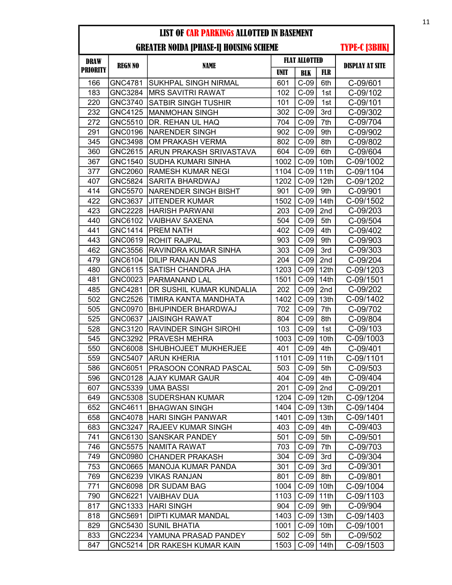## GREATER NOIDA [PHASE-I] HOUSING SCHEME

| DRAW            | <b>REGN NO</b> | NAME                         |      | <b>FLAT ALLOTTED</b> |                  | <b>DISPLAY AT SITE</b> |
|-----------------|----------------|------------------------------|------|----------------------|------------------|------------------------|
| <b>PRIORITY</b> |                |                              | UNIT | <b>BLK</b>           | <b>FLR</b>       |                        |
| 166             | GNC4781        | <b>SUKHPAL SINGH NIRMAL</b>  | 601  | $C-09$               | 6th              | C-09/601               |
| 183             | GNC3284        | MRS SAVITRI RAWAT            | 102  | $C-09$               | 1st              | C-09/102               |
| 220             | GNC3740        | <b>SATBIR SINGH TUSHIR</b>   | 101  | $C-09$               | 1st              | C-09/101               |
| 232             | GNC4125        | MANMOHAN SINGH               | 302  | $C-09$               | 3rd              | C-09/302               |
| 272             | GNC5510        | DR. REHAN UL HAQ             | 704  | $C-09$               | 7th              | C-09/704               |
| 291             | GNC0196        | <b>INARENDER SINGH</b>       | 902  | $C-09$               | 9th              | C-09/902               |
| 345             | GNC3498        | OM PRAKASH VERMA             | 802  | $C-09$               | 8th              | C-09/802               |
| 360             | GNC2615        | ARUN PRAKASH SRIVASTAVA      | 604  | $C-09$               | 6th              | C-09/604               |
| 367             | GNC1540        | <b>SUDHA KUMARI SINHA</b>    | 1002 | $C-09$               | 10th             | C-09/1002              |
| 377             | GNC2060        | <b>RAMESH KUMAR NEGI</b>     | 1104 | $C-09$               | 11th             | C-09/1104              |
| 407             | GNC5824        | SARITA BHARDWAJ              | 1202 | $C-09$               | 12 <sub>th</sub> | C-09/1202              |
| 414             | GNC5570        | <b>NARENDER SINGH BISHT</b>  | 901  | $C-09$               | 9th              | C-09/901               |
| 422             | GNC3637        | <b>JITENDER KUMAR</b>        | 1502 | $C-09$               | 14th             | C-09/1502              |
| 423             | <b>GNC2228</b> | <b>HARISH PARWANI</b>        | 203  | $C-09$               | 2nd              | C-09/203               |
| 440             | GNC6102        | VAIBHAV SAXENA               | 504  | $C-09$               | 5th              | C-09/504               |
| 441             | <b>GNC1414</b> | <b>PREM NATH</b>             | 402  | $C-09$               | 4th              | C-09/402               |
| 443             | GNC0619        | ROHIT RAJPAL                 | 903  | $C-09$               | 9th              | C-09/903               |
| 462             | GNC3556        | <b>RAVINDRA KUMAR SINHA</b>  | 303  | $C-09$               | 3rd              | C-09/303               |
| 479             | GNC6104        | <b>DILIP RANJAN DAS</b>      | 204  | $C-09$               | 2nd              | C-09/204               |
| 480             | GNC6115        | SATISH CHANDRA JHA           | 1203 | $C-09$               | 12th             | C-09/1203              |
| 481             | GNC0023        | PARMANAND LAL                | 1501 | $C-09$               | 14th             | C-09/1501              |
| 485             | GNC4281        | DR SUSHIL KUMAR KUNDALIA     | 202  | $C-09$               | 2nd              | C-09/202               |
| 502             | <b>GNC2526</b> | <b>TIMIRA KANTA MANDHATA</b> | 1402 | $C-09$               | 13th             | C-09/1402              |
| 505             | GNC0970        | <b>BHUPINDER BHARDWAJ</b>    | 702  | $C-09$               | 7th              | C-09/702               |
| 525             | GNC0637        | <b>JAISINGH RAWAT</b>        | 804  | $C-09$               | 8th              | C-09/804               |
| 528             | GNC3120        | <b>RAVINDER SINGH SIROHI</b> | 103  | $C-09$               | 1st              | C-09/103               |
| 545             | GNC3292        | <b>PRAVESH MEHRA</b>         | 1003 | $C-09$               | 10th             | C-09/1003              |
| 550             | GNC6008        | <b>SHUBHOJEET MUKHERJEE</b>  | 401  | $C-09$               | 4th              | C-09/401               |
| 559             | <b>GNC5407</b> | <b>ARUN KHERIA</b>           | 1101 | $C-09$               | 11th             | C-09/1101              |
| 586             | GNC6051        | <b>PRASOON CONRAD PASCAL</b> | 503  | $C-09$               | 5th              | C-09/503               |
| 596             | GNC0128        | <b>AJAY KUMAR GAUR</b>       | 404  | $C-09$               | 4th              | C-09/404               |
| 607             | GNC5339        | UMA BASSI                    | 201  | $C-09$ 2nd           |                  | C-09/201               |
| 649             | GNC5308        | <b>SUDERSHAN KUMAR</b>       | 1204 | $C-09$               | 12 <sub>th</sub> | C-09/1204              |
| 652             | GNC4611        | <b>BHAGWAN SINGH</b>         | 1404 | $C-09$               | 13 <sub>th</sub> | C-09/1404              |
| 658             | GNC4078        | HARI SINGH PANWAR            | 1401 | $C-09$               | 13th             | C-09/1401              |
| 683             | GNC3247        | <b>RAJEEV KUMAR SINGH</b>    | 403  | $C-09$               | 4th              | C-09/403               |
| 741             | GNC6130        | <b>SANSKAR PANDEY</b>        | 501  | $C-09$               | 5th              | C-09/501               |
| 746             | <b>GNC5575</b> | <b>NAMITA RAWAT</b>          | 703  | $C-09$               | 7th              | C-09/703               |
| 749             | GNC0980        | <b>CHANDER PRAKASH</b>       | 304  | $C-09$               | 3rd              | C-09/304               |
| 753             | GNC0665        | MANOJA KUMAR PANDA           | 301  | $C-09$               | 3rd              | C-09/301               |
| 769             | GNC6239        | <b>VIKAS RANJAN</b>          | 801  | $C-09$               | 8th              | C-09/801               |
| 771             | GNC6098        | <b>DR SUDAM BAG</b>          | 1004 | $C-09$               | 10th             | C-09/1004              |
| 790             | GNC6221        | <b>VAIBHAV DUA</b>           | 1103 | $C-09$               | 11th             | C-09/1103              |
| 817             | GNC1333        | <b>HARI SINGH</b>            | 904  | $C-09$               | 9th              | C-09/904               |
| 818             | GNC5691        | <b>DIPTI KUMAR MANDAL</b>    | 1403 | $C-09$               | 13 <sub>th</sub> | C-09/1403              |
| 829             | GNC5430        | <b>SUNIL BHATIA</b>          | 1001 | $C-09$               | 10th             | C-09/1001              |
| 833             | GNC2234        | YAMUNA PRASAD PANDEY         | 502  | $C-09$               | 5th              | C-09/502               |
| 847             | GNC5214        | <b>DR RAKESH KUMAR KAIN</b>  | 1503 | $C-09$               | 14th             | C-09/1503              |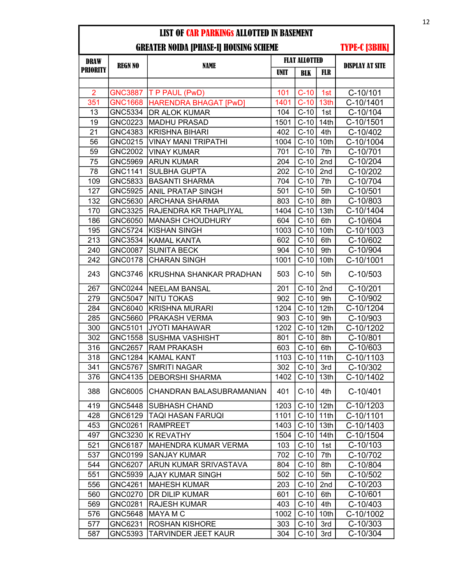| <b>DRAW</b>     |                |                              | <b>FLAT ALLOTTED</b> |            |                  |                        |
|-----------------|----------------|------------------------------|----------------------|------------|------------------|------------------------|
| <b>PRIORITY</b> | <b>REGN NO</b> | <b>NAME</b>                  | <b>UNIT</b>          | <b>BLK</b> | <b>FLR</b>       | <b>DISPLAY AT SITE</b> |
|                 |                |                              |                      |            |                  |                        |
| $\overline{2}$  | <b>GNC3887</b> | T P PAUL (PwD)               | 101                  | $C-10$     | 1st              | C-10/101               |
| 351             | <b>GNC1668</b> | <b>HARENDRA BHAGAT [PwD]</b> | 1401                 | $C-10$     | 13 <sub>th</sub> | C-10/1401              |
| 13              | <b>GNC5334</b> | DR ALOK KUMAR                | 104                  | $C-10$     | 1st              | C-10/104               |
| 19              | GNC0223        | <b>MADHU PRASAD</b>          | 1501                 | $C-10$     | 14th             | C-10/1501              |
| 21              | GNC4383        | <b>KRISHNA BIHARI</b>        | 402                  | $C-10$     | 4th              | C-10/402               |
| 56              | GNC0215        | <b>VINAY MANI TRIPATHI</b>   | 1004                 | $C-10$     | 10th             | C-10/1004              |
| 59              | <b>GNC2002</b> | <b>VINAY KUMAR</b>           | 701                  | $C-10$     | 7th              | C-10/701               |
| 75              | GNC5969        | <b>ARUN KUMAR</b>            | 204                  | $C-10$     | 2nd              | C-10/204               |
| 78              | GNC1141        | <b>SULBHA GUPTA</b>          | 202                  | $C-10$     | 2nd              | C-10/202               |
| 109             | GNC5833        | <b>BASANTI SHARMA</b>        | 704                  | $C-10$     | 7th              | C-10/704               |
| 127             | <b>GNC5925</b> | ANIL PRATAP SINGH            | 501                  | $C-10$     | 5th              | C-10/501               |
| 132             | GNC5630        | <b>ARCHANA SHARMA</b>        | 803                  | $C-10$     | 8th              | C-10/803               |
| 170             | <b>GNC3325</b> | RAJENDRA KR THAPLIYAL        | 1404                 | $C-10$     | 13th             | C-10/1404              |
| 186             | GNC6050        | <b>MANASH CHOUDHURY</b>      | 604                  | $C-10$     | 6th              | C-10/604               |
| 195             | <b>GNC5724</b> | <b>KISHAN SINGH</b>          | 1003                 | $C-10$     | 10th             | C-10/1003              |
| 213             | GNC3534        | <b>KAMAL KANTA</b>           | 602                  | $C-10$     | 6th              | C-10/602               |
| 240             | <b>GNC0087</b> | <b>SUNITA BECK</b>           | 904                  | $C-10$     | 9th              | C-10/904               |
| 242             | GNC0178        | <b>CHARAN SINGH</b>          | 1001                 | $C-10$     | 10th             | C-10/1001              |
| 243             | GNC3746        | KRUSHNA SHANKAR PRADHAN      | 503                  | $C-10$     | 5th              | C-10/503               |
| 267             | <b>GNC0244</b> | <b>NEELAM BANSAL</b>         | 201                  | $C-10$     | 2nd              | C-10/201               |
| 279             | <b>GNC5047</b> | <b>NITU TOKAS</b>            | 902                  | $C-10$     | 9th              | C-10/902               |
| 284             | GNC6040        | <b>KRISHNA MURARI</b>        | 1204                 | $C-10$     | 12th             | C-10/1204              |
| 285             | GNC5660        | PRAKASH VERMA                | 903                  | $C-10$     | 9th              | C-10/903               |
| 300             | GNC5101        | <b>JYOTI MAHAWAR</b>         | 1202                 | $C-10$     | 12 <sub>th</sub> | C-10/1202              |
| 302             | <b>GNC1558</b> | <b>SUSHMA VASHISHT</b>       | 801                  | $C-10$     | 8th              | C-10/801               |
| 316             | <b>GNC2657</b> | <b>RAM PRAKASH</b>           | 603                  | $C-10$     | 6th              | C-10/603               |
| 318             | <b>GNC1284</b> | <b>KAMAL KANT</b>            | 1103                 | $C-10$     | 11th             | C-10/1103              |
| 341             | <b>GNC5767</b> | <b>SMRITI NAGAR</b>          | 302                  | $C-10$     | 3rd              | C-10/302               |
| 376             | GNC4135        | <b>DEBORSHI SHARMA</b>       | 1402                 | $C-10$     | 13th             | C-10/1402              |
| 388             | GNC6005        | CHANDRAN BALASUBRAMANIAN     | 401                  | $C-10$     | 4th              | C-10/401               |
| 419             | <b>GNC5448</b> | <b>SUBHASH CHAND</b>         | 1203                 | $C-10$     | 12th             | C-10/1203              |
| 428             | GNC6129        | <b>TAQI HASAN FARUQI</b>     | 1101                 | $C-10$     | 11th             | C-10/1101              |
| 453             | GNC0261        | <b>RAMPREET</b>              | 1403                 | $C-10$     | 13 <sub>th</sub> | C-10/1403              |
| 497             | GNC3230        | <b>K REVATHY</b>             | 1504                 | $C-10$     | 14th             | C-10/1504              |
| 521             | GNC6187        | MAHENDRA KUMAR VERMA         | 103                  | $C-10$     | 1st              | $C-10/103$             |
| 537             | GNC0199        | <b>SANJAY KUMAR</b>          | 702                  | $C-10$     | 7th              | C-10/702               |
| 544             | GNC6207        | ARUN KUMAR SRIVASTAVA        | 804                  | $C-10$     | 8th              | C-10/804               |
| 551             | <b>GNC5939</b> | <b>AJAY KUMAR SINGH</b>      | 502                  | $C-10$     | 5th              | C-10/502               |
| 556             | GNC4261        | <b>MAHESH KUMAR</b>          | 203                  | $C-10$     | 2nd              | C-10/203               |
| 560             | <b>GNC0270</b> | DR DILIP KUMAR               | 601                  | $C-10$     | 6th              | C-10/601               |
| 569             | GNC0281        | <b>RAJESH KUMAR</b>          | 403                  | $C-10$     | 4th              | C-10/403               |
| 576             | GNC5648        | MAYA M C                     | 1002                 | $C-10$     | 10th             | C-10/1002              |
| 577             | GNC6231        | <b>ROSHAN KISHORE</b>        | 303                  | $C-10$     | 3rd              | C-10/303               |
| 587             | GNC5393        | <b>TARVINDER JEET KAUR</b>   | 304                  | $C-10$     | 3rd              | C-10/304               |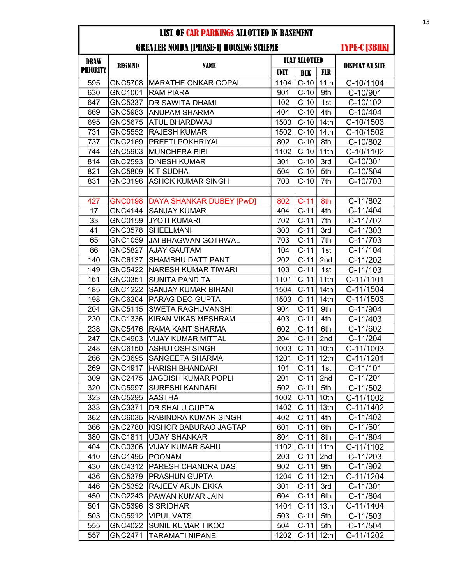#### GREATER NOIDA [PHASE-I] HOUSING SCHEME

| <b>DRAW</b>     | <b>REGN NO</b>            | <b>NAME</b>                                    | <b>FLAT ALLOTTED</b> |                  |                  |                        |
|-----------------|---------------------------|------------------------------------------------|----------------------|------------------|------------------|------------------------|
| <b>PRIORITY</b> |                           |                                                | <b>UNIT</b>          | <b>BLK</b>       | <b>FLR</b>       | <b>DISPLAY AT SITE</b> |
| 595             |                           | GNC5708   MARATHE ONKAR GOPAL                  | 1104                 | $C-10$           | 11th             | C-10/1104              |
| 630             | GNC1001                   | <b>RAM PIARA</b>                               | 901                  | $C-10$           | 9th              | C-10/901               |
| 647             | <b>GNC5337</b>            | <b>DR SAWITA DHAMI</b>                         | 102                  | $C-10$           | 1st              | C-10/102               |
| 669             | GNC5983                   | <b>ANUPAM SHARMA</b>                           | 404                  | $C-10$           | 4th              | C-10/404               |
| 695             | <b>GNC5675</b>            | <b>ATUL BHARDWAJ</b>                           | 1503                 | $C-10$           | 14 <sub>th</sub> | C-10/1503              |
| 731             | <b>GNC5552</b>            | <b>RAJESH KUMAR</b>                            | 1502                 | $C-10$           | 14th             | C-10/1502              |
| 737             | GNC2169                   | PREETI POKHRIYAL                               | 802                  | $C-10$           | 8th              | C-10/802               |
| 744             | GNC5903                   | <b>MUNCHERA BIBI</b>                           | 1102                 | $C-10$           | 11th             | C-10/1102              |
| 814             | <b>GNC2593</b>            | <b>DINESH KUMAR</b>                            | 301                  | $C-10$           | 3rd              | C-10/301               |
| 821             | GNC5809                   | K T SUDHA                                      | 504                  | $C-10$           | 5th              | C-10/504               |
| 831             | GNC3196                   | <b>ASHOK KUMAR SINGH</b>                       | 703                  | $C-10$           | 7th              | C-10/703               |
|                 |                           |                                                |                      |                  |                  |                        |
| 427             | <b>GNC0198</b>            | <b>DAYA SHANKAR DUBEY [PwD]</b>                | 802                  | $C-11$           | 8th              | C-11/802               |
| 17              | <b>GNC4144</b>            | <b>SANJAY KUMAR</b>                            | 404                  | $C-11$           | 4th              | C-11/404               |
| 33              | GNC0159                   | <b>JYOTI KUMARI</b>                            | 702                  | $C-11$           | 7th              | C-11/702               |
| 41              | GNC3578                   | <b>SHEELMANI</b>                               | 303                  | $C-11$           | 3rd              | $C-11/303$             |
| 65              | GNC1059                   | <b>JAI BHAGWAN GOTHWAL</b>                     | 703                  | $C-11$           | 7th              | C-11/703               |
| 86              | <b>GNC5827</b>            | <b>AJAY GAUTAM</b>                             | 104                  | $C-11$           | 1st              | C-11/104               |
| 140             | GNC6137                   | <b>SHAMBHU DATT PANT</b>                       | 202                  | $C-11$           | 2nd              | C-11/202               |
| 149             | <b>GNC5422</b>            | NARESH KUMAR TIWARI                            | 103                  | $C-11$           | 1st              | C-11/103               |
| 161             | GNC0351                   | <b>SUNITA PANDITA</b>                          | 1101                 | $C-11$           | 11th             | C-11/1101              |
| 185             | <b>GNC1222</b>            | <b>SANJAY KUMAR BIHANI</b>                     | 1504                 | $C-11$           | 14th             | C-11/1504              |
| 198             | GNC6204                   | <b>PARAG DEO GUPTA</b>                         | 1503                 | $C-11$           | 14th             | C-11/1503              |
| 204             | GNC5115                   | <b>SWETA RAGHUVANSHI</b>                       | 904                  | $C-11$           | 9th              | C-11/904               |
| 230             | GNC1336                   | KIRAN VIKAS MESHRAM                            | 403                  | $C-11$           | 4th              | C-11/403               |
| 238             | <b>GNC5476</b>            | <b>RAMA KANT SHARMA</b>                        | 602                  | $C-11$           | 6th              | C-11/602               |
| 247             | GNC4903                   | <b>VIJAY KUMAR MITTAL</b>                      | 204                  | $C-11$           | 2nd              | C-11/204               |
| 248             | GNC6150                   | <b>ASHUTOSH SINGH</b>                          | 1003                 | $C-11$           | 10th             | C-11/1003              |
| 266             | GNC3695                   | <b>SANGEETA SHARMA</b>                         | 1201                 | $C-11$           | 12 <sub>th</sub> | C-11/1201              |
| 269             | <b>GNC4917</b>            | <b>HARISH BHANDARI</b>                         | 101                  | $C-11$           | 1st              | $C-11/101$             |
| 309             | <b>GNC2475</b>            | <b>JAGDISH KUMAR POPLI</b>                     | 201                  | $C-11$           | 2nd              | C-11/201               |
| 320             | <b>GNC5997</b>            | <b>SURESHI KANDARI</b>                         | 502                  | $C-11$           | 5th              | C-11/502               |
| 323             | GNC5295                   | AASTHA                                         | 1002                 | $C-11$           | 10th             | C-11/1002              |
| 333             | GNC3371                   | <b>DR SHALU GUPTA</b>                          | 1402                 | $C-11$           | 13 <sub>th</sub> | C-11/1402              |
| 362             | GNC6035                   | RABINDRA KUMAR SINGH                           | 402                  | $C-11$           | 4th              | C-11/402               |
| 366             | <b>GNC2780</b>            | KISHOR BABURAO JAGTAP                          | 601                  | $C-11$           | 6th              | C-11/601               |
| 380             | GNC1811                   | <b>UDAY SHANKAR</b><br><b>VIJAY KUMAR SAHU</b> | 804                  | $C-11$           | 8th              | C-11/804               |
| 404             | GNC0306                   |                                                | 1102                 | $C-11$           | 11th             | C-11/1102              |
| 410<br>430      | <b>GNC1495</b><br>GNC4312 | <b>POONAM</b><br><b>PARESH CHANDRA DAS</b>     | 203<br>902           | $C-11$<br>$C-11$ | 2nd<br>9th       | C-11/203<br>C-11/902   |
| 436             | GNC5379                   | <b>PRASHUN GUPTA</b>                           | 1204                 | $C-11$           | 12 <sub>th</sub> | C-11/1204              |
| 446             | GNC5352                   | <b>RAJEEV ARUN EKKA</b>                        | 301                  | $C-11$           | 3rd              | $C-11/301$             |
| 450             | <b>GNC2243</b>            | PAWAN KUMAR JAIN                               | 604                  | $C-11$           | 6th              |                        |
| 501             | GNC5396                   | <b>S SRIDHAR</b>                               | 1404                 | $C-11$           | 13th             | C-11/604<br>C-11/1404  |
| 503             | GNC5912                   | <b>VIPUL VATS</b>                              | 503                  | $C-11$           | 5th              | C-11/503               |
| 555             | GNC4022                   | <b>SUNIL KUMAR TIKOO</b>                       | 504                  | $C-11$           | 5th              | C-11/504               |
| 557             | GNC2471                   | <b>TARAMATI NIPANE</b>                         | 1202                 | $C-11$           | 12th             | C-11/1202              |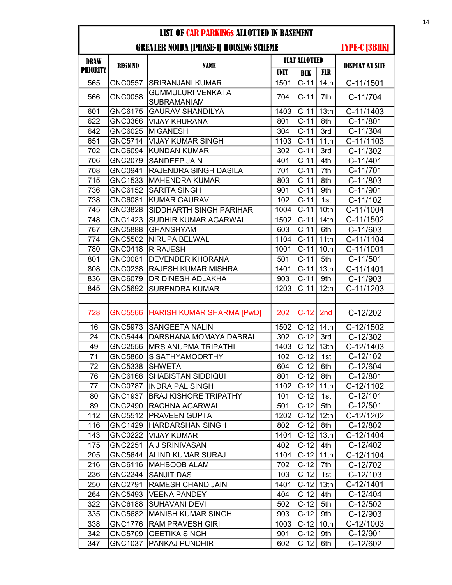| <b>LIST OF CAR PARKINGS ALLOTTED IN BASEMENT</b> |                      |                                                |             |                      |                        |                         |
|--------------------------------------------------|----------------------|------------------------------------------------|-------------|----------------------|------------------------|-------------------------|
|                                                  | <b>TYPE-C [3BHK]</b> |                                                |             |                      |                        |                         |
| <b>DRAW</b>                                      | <b>REGN NO</b>       | <b>NAME</b>                                    |             | <b>FLAT ALLOTTED</b> | <b>DISPLAY AT SITE</b> |                         |
| <b>PRIORITY</b>                                  |                      |                                                | <b>UNIT</b> | <b>BLK</b>           | <b>FLR</b>             |                         |
| 565                                              | <b>GNC0557</b>       | <b>SRIRANJANI KUMAR</b>                        | 1501        | $\overline{C}$ -11   | 14th                   | C-11/1501               |
| 566                                              | <b>GNC0058</b>       | <b>GUMMULURI VENKATA</b><br><b>SUBRAMANIAM</b> | 704         | $C-11$               | 7th                    | C-11/704                |
| 601                                              | GNC6175              | <b>GAURAV SHANDILYA</b>                        | 1403        | $C-11$               | 13th                   | C-11/1403               |
| 622                                              | GNC3366              | <b>VIJAY KHURANA</b>                           | 801         | $C-11$               | 8th                    | C-11/801                |
| 642                                              | GNC6025              | M GANESH                                       | 304         | $C-11$               | 3rd                    | $C-11/304$              |
| 651                                              | <b>GNC5714</b>       | <b>VIJAY KUMAR SINGH</b>                       | 1103        | $C-11$               | 11th                   | C-11/1103               |
| 702                                              | GNC6094              | <b>KUNDAN KUMAR</b>                            | 302         | $C-11$               | 3rd                    | C-11/302                |
| 706                                              | GNC2079              | <b>SANDEEP JAIN</b>                            | 401         | $C-11$               | 4th                    | C-11/401                |
| 708                                              | GNC0941              | <b>RAJENDRA SINGH DASILA</b>                   | 701         | $C-11$               | 7th                    | $C-11/701$              |
| 715                                              | GNC1533              | <b>MAHENDRA KUMAR</b>                          | 803         | $C-11$               | 8th                    | C-11/803                |
| 736                                              | GNC6152              | <b>SARITA SINGH</b>                            | 901         | $C-11$               | 9th                    | C-11/901                |
| 738                                              | GNC6081              | <b>KUMAR GAURAV</b>                            | 102         | $C-11$               | 1st                    | C-11/102                |
| 745                                              | <b>GNC3828</b>       | <b>SIDDHARTH SINGH PARIHAR</b>                 | 1004        | $C-11$               | 10th                   | $\overline{C}$ -11/1004 |
| 748                                              | <b>GNC1423</b>       | <b>SUDHIR KUMAR AGARWAL</b>                    | 1502        | $C-11$               | 14th                   | C-11/1502               |
| 767                                              | <b>GNC5888</b>       | <b>GHANSHYAM</b>                               | 603         | $C-11$               | 6th                    | C-11/603                |
| 774                                              | GNC5502              | <b>NIRUPA BELWAL</b>                           | 1104        | $C-11$               | 11th                   | C-11/1104               |
| 780                                              | <b>GNC0418</b>       | <b>R RAJESH</b>                                | 1001        | $C-11$               | 10th                   | C-11/1001               |
| 801                                              | GNC0081              | <b>DEVENDER KHORANA</b>                        | 501         | $C-11$               | 5th                    | $C-11/501$              |
| 808                                              | <b>GNC0238</b>       | <b>RAJESH KUMAR MISHRA</b>                     | 1401        | $C-11$               | 13th                   | $\overline{C-1}1/1401$  |
| 836                                              | GNC6079              | <b>DR DINESH ADLAKHA</b>                       | 903         | $C-11$               | 9th                    | C-11/903                |
| 845                                              | GNC5692              | <b>SURENDRA KUMAR</b>                          | 1203        | $C-11$               | 12th                   | C-11/1203               |
|                                                  |                      |                                                |             |                      |                        |                         |
| 728                                              | <b>GNC5566</b>       | <b>HARISH KUMAR SHARMA [PwD]</b>               | 202         | $C-12$               | 2 <sub>nd</sub>        | C-12/202                |
| 16                                               | GNC5973              | <b>SANGEETA NALIN</b>                          | 1502        | $C-12$               | 14th                   | C-12/1502               |
| 24                                               | <b>GNC5444</b>       | <b>DARSHANA MOMAYA DABRAL</b>                  | 302         | $C-12$               | 3rd                    | $C-12/302$              |
| 49                                               | <b>GNC2556</b>       | <b>MRS ANUPMA TRIPATHI</b>                     | 1403        | $C-12$               | 13th                   | C-12/1403               |
| 71                                               | GNC5860              | S SATHYAMOORTHY                                | 102         | $C-12$               | 1st                    | C-12/102                |
| 72                                               | GNC5338              | <b>SHWETA</b>                                  | 604         | $C-12$               | 6th                    | C-12/604                |
| 76                                               | GNC6168              | SHABISTAN SIDDIQUI                             | 801         | $C-12$               | 8th                    | $C-12/801$              |
| 77                                               | <b>GNC0787</b>       | <b>INDRA PAL SINGH</b>                         | 1102        | $C-12$               | 11th                   | C-12/1102               |
| 80                                               | <b>GNC1937</b>       | <b>BRAJ KISHORE TRIPATHY</b>                   | 101         | $C-12$               | 1st                    | $C-12/101$              |
| 89                                               | GNC2490              | <b>RACHNA AGARWAL</b>                          | 501         | $C-12$               | 5th                    | C-12/501                |
| 112                                              | GNC5512              | <b>PRAVEEN GUPTA</b>                           | 1202        | $C-12$               | 12 <sub>th</sub>       | C-12/1202               |
| 116                                              | <b>GNC1429</b>       | <b>HARDARSHAN SINGH</b>                        | 802         | $C-12$               | 8th                    | C-12/802                |
| 143                                              | <b>GNC0222</b>       | <b>VIJAY KUMAR</b>                             | 1404        | $C-12$ 13th          |                        | C-12/1404               |
| 175                                              | <b>GNC2251</b>       | A J SRINIVASAN                                 | 402         | $C-12$               | 4th                    | C-12/402                |
| 205                                              | GNC5644              | ALIND KUMAR SURAJ                              | 1104        | $C-12$               | 11th                   | C-12/1104               |
| 216                                              | GNC6116              | MAHBOOB ALAM                                   | 702         | $C-12$               | 7th                    | C-12/702                |
| 236                                              | <b>GNC2244</b>       | <b>SANJIT DAS</b>                              | 103         | $C-12$               | 1st                    | C-12/103                |
| 250                                              | GNC2791              | RAMESH CHAND JAIN                              | 1401        | $C-12$               | 13th                   | C-12/1401               |
| 264                                              | GNC5493              | VEENA PANDEY                                   | 404         | $C-12$               | 4th                    | C-12/404                |
| 322                                              | GNC6188              | <b>SUHAVANI DEVI</b>                           | 502         | $C-12$               | 5th                    | C-12/502                |
| 335                                              | GNC5682              | <b>MANISH KUMAR SINGH</b>                      | 903         | $C-12$               | 9th                    | C-12/903                |
| 338                                              | <b>GNC1776</b>       | <b>RAM PRAVESH GIRI</b>                        | 1003        | $C-12$               | 10th                   | C-12/1003               |
| 342                                              | GNC5709              | <b>GEETIKA SINGH</b>                           | 901         | $C-12$               | 9th                    | C-12/901                |
| 347                                              | GNC1037              | <b>PANKAJ PUNDHIR</b>                          | 602         | $C-12$               | 6th                    | C-12/602                |
|                                                  |                      |                                                |             |                      |                        |                         |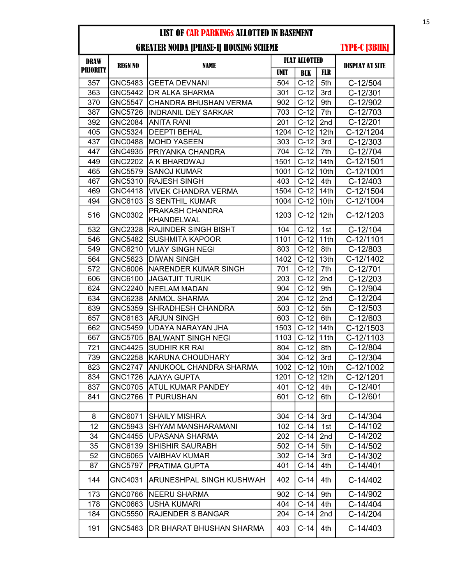| <b>DRAW</b>     |                |                              | <b>FLAT ALLOTTED</b> |            |                  |                        |
|-----------------|----------------|------------------------------|----------------------|------------|------------------|------------------------|
| <b>PRIORITY</b> | <b>REGN NO</b> | NAME                         | <b>UNIT</b>          | <b>BLK</b> | <b>FLR</b>       | <b>DISPLAY AT SITE</b> |
| 357             | GNC5483        | GEETA DEVNANI                | 504                  | $C-12$     | 5th              | C-12/504               |
| 363             | GNC5442        | <b>DR ALKA SHARMA</b>        | 301                  | $C-12$     | 3rd              | $C-12/301$             |
| 370             | <b>GNC5547</b> | <b>CHANDRA BHUSHAN VERMA</b> | 902                  | $C-12$     | 9th              | C-12/902               |
| 387             | <b>GNC5726</b> | <b>INDRANIL DEY SARKAR</b>   | 703                  | $C-12$     | 7th              | C-12/703               |
| 392             | <b>GNC2084</b> | <b>ANITA RANI</b>            | 201                  | $C-12$     | 2nd              | C-12/201               |
| 405             | <b>GNC5324</b> | <b>DEEPTI BEHAL</b>          | 1204                 | $C-12$     | 12th             | C-12/1204              |
| 437             | <b>GNC0488</b> | <b>MOHD YASEEN</b>           | 303                  | $C-12$     | 3rd              | $C-12/303$             |
| 447             | GNC4935        | PRIYANKA CHANDRA             | 704                  | $C-12$     | 7th              | C-12/704               |
| 449             | <b>GNC2202</b> | A K BHARDWAJ                 | 1501                 | $C-12$     | 14th             | C-12/1501              |
| 465             | <b>GNC5579</b> | <b>SANOJ KUMAR</b>           | 1001                 | $C-12$     | 10th             | C-12/1001              |
| 467             | GNC5310        | <b>RAJESH SINGH</b>          | 403                  | $C-12$     | 4th              | C-12/403               |
| 469             | <b>GNC4418</b> | <b>VIVEK CHANDRA VERMA</b>   | 1504                 | $C-12$     | 14th             | C-12/1504              |
| 494             | GNC6103        | <b>S SENTHIL KUMAR</b>       | 1004                 | $C-12$     | 10th             | C-12/1004              |
| 516             | GNC0302        | PRAKASH CHANDRA              | 1203                 | $C-12$     | 12th             | C-12/1203              |
|                 |                | KHANDELWAL                   |                      |            |                  |                        |
| 532             | <b>GNC2328</b> | <b>RAJINDER SINGH BISHT</b>  | 104                  | $C-12$     | 1st              | C-12/104               |
| 546             | <b>GNC5482</b> | <b>SUSHMITA KAPOOR</b>       | 1101                 | $C-12$     | 11th             | C-12/1101              |
| 549             | GNC6210        | <b>VIJAY SINGH NEGI</b>      | 803                  | $C-12$     | 8th              | C-12/803               |
| 564             | GNC5623        | <b>DIWAN SINGH</b>           | 1402                 | $C-12$     | 13th             | C-12/1402              |
| 572             | GNC6006        | NARENDER KUMAR SINGH         | 701                  | $C-12$     | 7th              | C-12/701               |
| 606             | GNC6100        | <b>JAGATJIT TURUK</b>        | 203                  | $C-12$     | 2nd              | $C-12/203$             |
| 624             | <b>GNC2240</b> | <b>NEELAM MADAN</b>          | 904                  | $C-12$     | 9th              | C-12/904               |
| 634             | GNC6238        | ANMOL SHARMA                 | 204                  | $C-12$     | 2nd              | C-12/204               |
| 639             | GNC5359        | SHRADHESH CHANDRA            | 503                  | $C-12$     | 5th              | $C-12/503$             |
| 657             | GNC6163        | <b>ARJUN SINGH</b>           | 603                  | $C-12$     | 6th              | C-12/603               |
| 662             | GNC5459        | UDAYA NARAYAN JHA            | 1503                 | $C-12$     | 14 <sub>th</sub> | $C-12/1503$            |
| 667             | <b>GNC5705</b> | <b>BALWANT SINGH NEGI</b>    | 1103                 | $C-12$     | 11th             | C-12/1103              |
| 721             | <b>GNC4425</b> | SUDHIR KR RAI                | 804                  | $C-12$     | 8th              | C-12/804               |
| 739             | <b>GNC2258</b> | KARUNA CHOUDHARY             | 304                  | $C-12$     | 3rd              | $C-12/304$             |
| 823             | <b>GNC2747</b> | ANUKOOL CHANDRA SHARMA       | 1002                 | $C-12$     | 10 <sub>th</sub> | C-12/1002              |
| 834             | <b>GNC1726</b> | <b>AJAYA GUPTA</b>           | 1201                 | $C-12$     | 12 <sub>th</sub> | C-12/1201              |
| 837             |                | GNC0705 ATUL KUMAR PANDEY    | 401                  | $C-12$     | 4th              | $C-12/401$             |
| 841             | GNC2766        | <b>T PURUSHAN</b>            | 601                  | $C-12$     | 6th              | C-12/601               |
|                 |                |                              |                      |            |                  |                        |
| 8               | GNC6071        | <b>SHAILY MISHRA</b>         | 304                  | $C-14$     | 3rd              | $C-14/304$             |
| 12              | GNC5943        | SHYAM MANSHARAMANI           | 102                  | $C-14$     | 1st              | C-14/102               |
| 34              | GNC4455        | <b>UPASANA SHARMA</b>        | 202                  | $C-14$     | 2nd              | C-14/202               |
| 35              | GNC6139        | <b>SHISHIR SAURABH</b>       | 502                  | $C-14$     | 5th              | C-14/502               |
| 52              | GNC6065        | VAIBHAV KUMAR                | 302                  | $C-14$     | 3rd              | C-14/302               |
| 87              | GNC5797        | PRATIMA GUPTA                | 401                  | $C-14$     | 4th              | $C-14/401$             |
| 144             | GNC4031        | ARUNESHPAL SINGH KUSHWAH     | 402                  | $C-14$     | 4th              | C-14/402               |
| 173             | GNC0766        | <b>NEERU SHARMA</b>          | 902                  | $C-14$     | 9th              | C-14/902               |
| 178             | GNC0663        | <b>USHA KUMARI</b>           | 404                  | $C-14$     | 4th              | C-14/404               |
| 184             | GNC5550        | RAJENDER S BANGAR            | 204                  | $C-14$     | 2nd              | C-14/204               |
| 191             | GNC5463        | DR BHARAT BHUSHAN SHARMA     | 403                  | $C-14$     | 4th              | $C-14/403$             |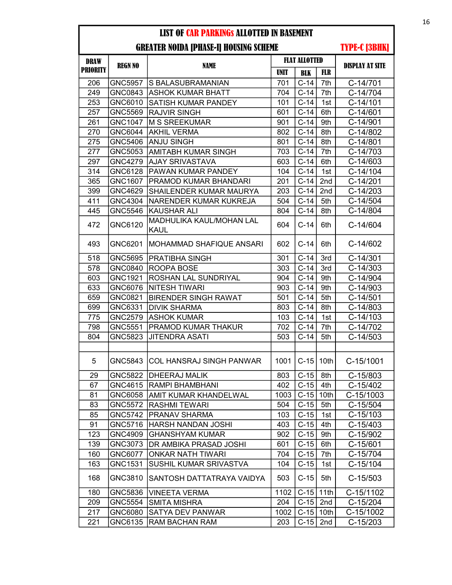## GREATER NOIDA [PHASE-I] HOUSING SCHEME

| <b>DRAW</b>     | <b>REGN NO</b> | <b>NAME</b>                             | <b>FLAT ALLOTTED</b> |            |            | <b>DISPLAY AT SITE</b> |
|-----------------|----------------|-----------------------------------------|----------------------|------------|------------|------------------------|
| <b>PRIORITY</b> |                |                                         | UNIT                 | <b>BLK</b> | <b>FLR</b> |                        |
| 206             | <b>GNC5957</b> | <b>S BALASUBRAMANIAN</b>                | 701                  | $C-14$     | 7th        | C-14/701               |
| 249             | GNC0843        | <b>ASHOK KUMAR BHATT</b>                | 704                  | $C-14$     | 7th        | C-14/704               |
| 253             | GNC6010        | <b>SATISH KUMAR PANDEY</b>              | 101                  | $C-14$     | 1st        | C-14/101               |
| 257             | GNC5569        | <b>RAJVIR SINGH</b>                     | 601                  | $C-14$     | 6th        | C-14/601               |
| 261             | <b>GNC1047</b> | IM S SREEKUMAR                          | 901                  | $C-14$     | 9th        | C-14/901               |
| 270             | GNC6044        | <b>AKHIL VERMA</b>                      | 802                  | $C-14$     | 8th        | C-14/802               |
| 275             | GNC5406        | <b>ANJU SINGH</b>                       | 801                  | $C-14$     | 8th        | C-14/801               |
| 277             | GNC5053        | AMITABH KUMAR SINGH                     | 703                  | $C-14$     | 7th        | C-14/703               |
| 297             | GNC4279        | <b>AJAY SRIVASTAVA</b>                  | 603                  | $C-14$     | 6th        | C-14/603               |
| 314             | GNC6128        | PAWAN KUMAR PANDEY                      | 104                  | $C-14$     | 1st        | C-14/104               |
| 365             | GNC1607        | <b>PRAMOD KUMAR BHANDARI</b>            | 201                  | $C-14$     | 2nd        | $C-14/201$             |
| 399             | GNC4629        | SHAILENDER KUMAR MAURYA                 | 203                  | $C-14$     | 2nd        | C-14/203               |
| 411             | GNC4304        | NARENDER KUMAR KUKREJA                  | 504                  | $C-14$     | 5th        | C-14/504               |
| 445             | <b>GNC5546</b> | <b>KAUSHAR ALI</b>                      | 804                  | $C-14$     | 8th        | C-14/804               |
| 472             | GNC6120        | MADHULIKA KAUL/MOHAN LAL<br><b>KAUL</b> | 604                  | $C-14$     | 6th        | C-14/604               |
| 493             | GNC6201        | MOHAMMAD SHAFIQUE ANSARI                | 602                  | $C-14$     | 6th        | C-14/602               |
| 518             | <b>GNC5695</b> | <b>PRATIBHA SINGH</b>                   | 301                  | $C-14$     | 3rd        | $C-14/301$             |
| 578             | GNC0840        | <b>ROOPA BOSE</b>                       | 303                  | $C-14$     | 3rd        | $C-14/303$             |
| 603             | GNC1921        | <b>ROSHAN LAL SUNDRIYAL</b>             | 904                  | $C-14$     | 9th        | C-14/904               |
| 633             | GNC6076        | NITESH TIWARI                           | 903                  | $C-14$     | 9th        | $C-14/903$             |
| 659             | GNC0821        | <b>BIRENDER SINGH RAWAT</b>             | 501                  | $C-14$     | 5th        | C-14/501               |
| 699             | GNC6331        | <b>DIVIK SHARMA</b>                     | 803                  | $C-14$     | 8th        | C-14/803               |
| 775             | <b>GNC2579</b> | ASHOK KUMAR                             | 103                  | $C-14$     | 1st        | $C-14/103$             |
| 798             | GNC5551        | PRAMOD KUMAR THAKUR                     | 702                  | $C-14$     | 7th        | $C-14/702$             |
| 804             | GNC5823        | <b>JITENDRA ASATI</b>                   | 503                  | $C-14$     | 5th        | C-14/503               |
|                 |                |                                         |                      |            |            |                        |
| 5               | GNC5843        | <b>COL HANSRAJ SINGH PANWAR</b>         | 1001                 | $C-15$     | 10th       | C-15/1001              |
| 29              | GNC5822        | <b>DHEERAJ MALIK</b>                    | 803                  | $C-15$     | 8th        | C-15/803               |
| 67              |                | GNC4615 RAMPI BHAMBHANI                 | 402                  | $C-15$     | 4th        | C-15/402               |
| 81              |                | GNC6058   AMIT KUMAR KHANDELWAL         | 1003                 | $C-15$     | 10th       | C-15/1003              |
| 83              |                | GNC5572 RASHMI TEWARI                   | 504                  | $C-15$     | 5th        | $C-15/504$             |
| 85              |                | GNC5742   PRANAV SHARMA                 | 103                  | $C-15$     | 1st        | $C-15/103$             |
| 91              | GNC5716        | <b>HARSH NANDAN JOSHI</b>               | 403                  | $C-15$     | 4th        | C-15/403               |
| 123             | GNC4909        | <b>GHANSHYAM KUMAR</b>                  | 902                  | $C-15$     | 9th        | C-15/902               |
| 139             | GNC3073        | <b>IDR AMBIKA PRASAD JOSHI</b>          | 601                  | $C-15$     | 6th        | C-15/601               |
| 160             | GNC6077        | <b>ONKAR NATH TIWARI</b>                | 704                  | $C-15$     | 7th        | C-15/704               |
| 163             | GNC1531        | SUSHIL KUMAR SRIVASTVA                  | 104                  | $C-15$     | 1st        | C-15/104               |
| 168             | GNC3810        | SANTOSH DATTATRAYA VAIDYA               | 503                  | $C-15$     | 5th        | $C-15/503$             |
| 180             | GNC5836        | <b>VINEETA VERMA</b>                    | 1102                 | $C-15$     | 11th       | C-15/1102              |
| 209             | GNC5554        | <b>SMITA MISHRA</b>                     | 204                  | $C-15$     | 2nd        | $C-15/204$             |
| 217             | GNC6080        | <b>SATYA DEV PANWAR</b>                 | 1002                 | $C-15$     | 10th       | C-15/1002              |
| 221             | GNC6135        | <b>RAM BACHAN RAM</b>                   | 203                  | $C-15$     | 2nd        | $C-15/203$             |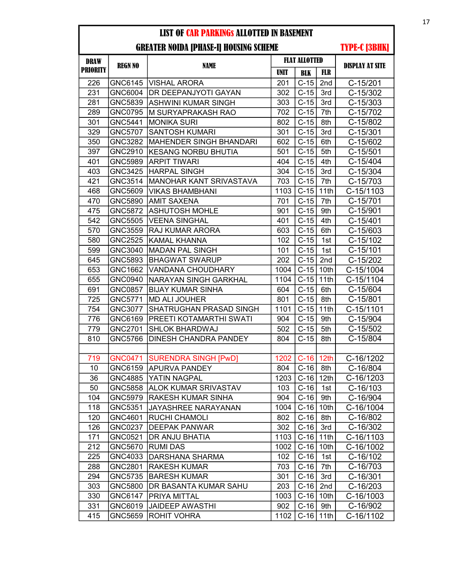| <b>DRAW</b>     | <b>REGN NO</b> | NAME                           | <b>FLAT ALLOTTED</b> |                    |            |                        |
|-----------------|----------------|--------------------------------|----------------------|--------------------|------------|------------------------|
| <b>PRIORITY</b> |                |                                | <b>UNIT</b>          | <b>BLK</b>         | <b>FLR</b> | <b>DISPLAY AT SITE</b> |
| 226             |                | GNC6145  VISHAL ARORA          | 201                  | $C-15$             | 2nd        | C-15/201               |
| 231             | GNC6004        | DR DEEPANJYOTI GAYAN           | 302                  | $C-15$             | 3rd        | C-15/302               |
| 281             | GNC5839        | ASHWINI KUMAR SINGH            | 303                  | $C-15$             | 3rd        | $C-15/303$             |
| 289             | <b>GNC0795</b> | M SURYAPRAKASH RAO             | 702                  | $C-15$             | 7th        | C-15/702               |
| 301             | GNC5441        | <b>MONIKA SURI</b>             | 802                  | $C-15$             | 8th        | C-15/802               |
| 329             | <b>GNC5707</b> | <b>SANTOSH KUMARI</b>          | 301                  | $C-15$             | 3rd        | $C-15/301$             |
| 350             | <b>GNC3282</b> | <b>MAHENDER SINGH BHANDARI</b> | 602                  | $C-15$             | 6th        | C-15/602               |
| 397             | <b>GNC2910</b> | <b>KESANG NORBU BHUTIA</b>     | 501                  | $C-15$             | 5th        | $C-15/501$             |
| 401             | <b>GNC5989</b> | <b>ARPIT TIWARI</b>            | 404                  | $C-15$             | 4th        | C-15/404               |
| 403             | <b>GNC3425</b> | <b>HARPAL SINGH</b>            | 304                  | $C-15$             | 3rd        | C-15/304               |
| 421             | GNC3514        | <b>MANOHAR KANT SRIVASTAVA</b> | 703                  | $C-15$             | 7th        | C-15/703               |
| 468             | GNC5609        | <b>VIKAS BHAMBHANI</b>         | 1103                 | $C-15$             | 11th       | C-15/1103              |
| 470             | <b>GNC5890</b> | <b>AMIT SAXENA</b>             | 701                  | $C-15$             | 7th        | C-15/701               |
| 475             | GNC5872        | <b>ASHUTOSH MOHLE</b>          | 901                  | $C-15$             | 9th        | C-15/901               |
| 542             | <b>GNC5505</b> | <b>VEENA SINGHAL</b>           | 401                  | $C-15$             | 4th        | $C-15/401$             |
| 570             | GNC3559        | RAJ KUMAR ARORA                | 603                  | $C-15$             | 6th        | $C-15/603$             |
| 580             | <b>GNC2525</b> | <b>KAMAL KHANNA</b>            | 102                  | $C-15$             | 1st        | C-15/102               |
| 599             | GNC3040        | <b>MADAN PAL SINGH</b>         | 101                  | $C-15$             | 1st        | $C-15/101$             |
| 645             | GNC5893        | <b>BHAGWAT SWARUP</b>          | 202                  | $C-15$             | 2nd        | C-15/202               |
| 653             | GNC1662        | <b>VANDANA CHOUDHARY</b>       | 1004                 | $C-15$             | 10th       | C-15/1004              |
| 655             | GNC0940        | NARAYAN SINGH GARKHAL          | 1104                 | $C-15$             | 11th       | C-15/1104              |
| 691             | <b>GNC0857</b> | <b>BIJAY KUMAR SINHA</b>       | 604                  | $C-15$             | 6th        | C-15/604               |
| 725             | GNC5771        | <b>MD ALI JOUHER</b>           | 801                  | $C-15$             | 8th        | C-15/801               |
| 754             | <b>GNC3077</b> | SHATRUGHAN PRASAD SINGH        | 1101                 | $C-15$             | 11th       | C-15/1101              |
| 776             | GNC6169        | PREETI KOTAMARTHI SWATI        | 904                  | $C-15$             | 9th        | C-15/904               |
| 779             | <b>GNC2701</b> | <b>SHLOK BHARDWAJ</b>          | 502                  | $C-15$             | 5th        | C-15/502               |
| 810             | <b>GNC5766</b> | <b>DINESH CHANDRA PANDEY</b>   | 804                  | $C-15$             | 8th        | C-15/804               |
|                 |                |                                |                      |                    |            |                        |
| 719             | <b>GNC0471</b> | <b>SURENDRA SINGH [PwD]</b>    | 1202                 | $C-16$ 12th        |            | C-16/1202              |
| 10              | GNC6159        | <b>APURVA PANDEY</b>           | 804                  | $C-16$             | 8th        | C-16/804               |
| 36              | <b>GNC4885</b> | YATIN NAGPAL                   | 1203                 | $C-16$ 12th        |            | C-16/1203              |
| 50              | GNC5858        | <b>ALOK KUMAR SRIVASTAV</b>    | 103                  | $C-16$             | 1st        | $C-16/103$             |
| 104             | GNC5979        | <b>RAKESH KUMAR SINHA</b>      | 904                  | $C-16$             | 9th        | C-16/904               |
| 118             | GNC5351        | <b>JAYASHREE NARAYANAN</b>     | 1004                 | $C-16$             | 10th       | C-16/1004              |
| 120             | GNC4601        | RUCHI CHAMOLI                  | 802                  | $C-16$             | 8th        | C-16/802               |
| 126             | <b>GNC0237</b> | <b>DEEPAK PANWAR</b>           | 302                  | $C-16$             | 3rd        | C-16/302               |
| 171             | GNC0521        | DR ANJU BHATIA                 | 1103                 | $C-16$             | 11th       | C-16/1103              |
| 212             | GNC5670        | <b>RUMI DAS</b>                | 1002                 | $C-16$             | 10th       | C-16/1002              |
| 225             | GNC4033        | DARSHANA SHARMA                | 102                  | $C-16$             | 1st        | C-16/102               |
| 288             | GNC2801        | <b>RAKESH KUMAR</b>            | 703                  | $C-16$             | 7th        | C-16/703               |
| 294             | GNC5735        | <b>BARESH KUMAR</b>            | 301                  | $C-16$             | 3rd        | $C-16/301$             |
| 303             | GNC5800        | DR BASANTA KUMAR SAHU          | 203                  | $C-16$             | 2nd        | $C-16/203$             |
| 330             | GNC6147        | <b>PRIYA MITTAL</b>            | 1003                 | $C-16$             | 10th       | C-16/1003              |
| 331             | GNC6019        | <b>JAIDEEP AWASTHI</b>         | 902                  | $C-16$             | 9th        | C-16/902               |
| 415             | GNC5659        | <b>ROHIT VOHRA</b>             |                      | 1102   C-16   11th |            | C-16/1102              |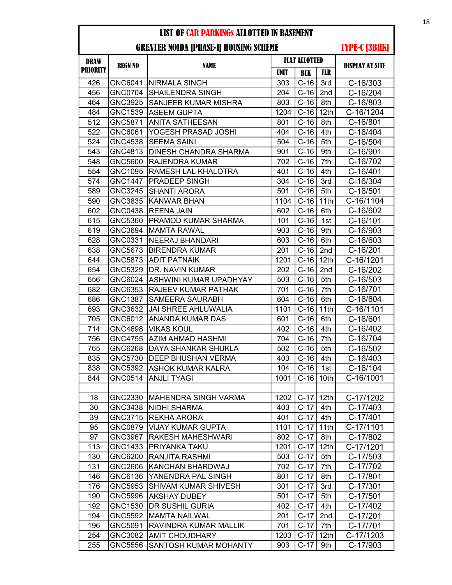## GREATER NOIDA [PHASE-I] HOUSING SCHEME

| <b>DRAW</b>     | <b>REGN NO</b> |                               |             | <b>FLAT ALLOTTED</b> |                  | <b>DISPLAY AT SITE</b> |
|-----------------|----------------|-------------------------------|-------------|----------------------|------------------|------------------------|
| <b>PRIORITY</b> |                | <b>NAME</b>                   | <b>UNIT</b> | <b>BLK</b>           | FLR              |                        |
| 426             | GNC6041        | <b>NIRMALA SINGH</b>          | 303         | $C-16$               | 3rd              | C-16/303               |
| 456             | <b>GNC0704</b> | <b>SHAILENDRA SINGH</b>       | 204         | $C-16$               | 2nd              | C-16/204               |
| 464             | <b>GNC3925</b> | SANJEEB KUMAR MISHRA          | 803         | $C-16$               | 8th              | C-16/803               |
| 484             | GNC1539        | IASEEM GUPTA                  | 1204        | $C-16$               | 12th             | C-16/1204              |
| 512             | GNC5871        | ANITA SATHEESAN               | 801         | $C-16$               | 8th              | C-16/801               |
| 522             | GNC6061        | YOGESH PRASAD JOSHI           | 404         | $C-16$               | 4th              | C-16/404               |
| 524             | <b>GNC4538</b> | <b>SEEMA SAINI</b>            | 504         | $C-16$               | 5th              | C-16/504               |
| 543             | GNC4813        | DINESH CHANDRA SHARMA         | 901         | $C-16$               | 9th              | C-16/901               |
| 548             | GNC5600        | RAJENDRA KUMAR                | 702         | $C-16$               | 7th              | C-16/702               |
| 554             | GNC1095        | RAMESH LAL KHALOTRA           | 401         | $C-16$               | 4th              | C-16/401               |
| 574             | <b>GNC1447</b> | <b>PRADEEP SINGH</b>          | 304         | $C-16$               | 3rd              | C-16/304               |
| 589             | <b>GNC3245</b> | <b>SHANTI ARORA</b>           | 501         | $C-16$               | 5th              | C-16/501               |
| 590             | GNC3835        | <b>KANWAR BHAN</b>            | 1104        | $C-16$               | 11th             | C-16/1104              |
| 602             | <b>GNC0438</b> | <b>REENA JAIN</b>             | 602         | $C-16$               | 6th              | C-16/602               |
| 615             | <b>GNC5360</b> | <b>IPRAMOD KUMAR SHARMA</b>   | 101         | $C-16$               | 1st              | C-16/101               |
| 619             | GNC3694        | MAMTA RAWAL                   | 903         | $C-16$               | 9th              | C-16/903               |
| 628             | GNC0331        | NEERAJ BHANDARI               | 603         | $C-16$               | 6th              | C-16/603               |
| 638             | GNC5673        | <b>BIRENDRA KUMAR</b>         | 201         | $C-16$               | 2nd              | $C-16/201$             |
| 644             | <b>GNC5873</b> | <b>ADIT PATNAIK</b>           | 1201        | $C-16$               | 12 <sub>th</sub> | C-16/1201              |
| 654             | <b>GNC5329</b> | DR. NAVIN KUMAR               | 202         | $C-16$               | 2nd              | C-16/202               |
| 656             | GNC6024        | <b>ASHWINI KUMAR UPADHYAY</b> | 503         | $C-16$               | 5th              | $C-16/503$             |
| 682             | GNC6353        | RAJEEV KUMAR PATHAK           | 701         | $C-16$               | 7th              | C-16/701               |
| 686             | <b>GNC1387</b> | <b>SAMEERA SAURABH</b>        | 604         | $C-16$               | 6th              | C-16/604               |
| 693             | GNC3632        | JAI SHREE AHLUWALIA           | 1101        | $C-16$               | 11th             | C-16/1101              |
| 705             | GNC6012        | <b>JANANDA KUMAR DAS</b>      | 601         | $C-16$               | 6th              | C-16/601               |
| 714             | GNC4698        | <b>VIKAS KOUL</b>             | 402         | $C-16$               | 4th              | C-16/402               |
| 756             | <b>GNC4755</b> | AZIM AHMAD HASHMI             | 704         | $C-16$               | 7th              | C-16/704               |
| 765             | <b>GNC6268</b> | DAYA SHANKAR SHUKLA           | 502         | $C-16$               | 5th              | C-16/502               |
| 835             | <b>GNC5730</b> | <b>DEEP BHUSHAN VERMA</b>     | 403         | $C-16$               | 4th              | C-16/403               |
| 838             | <b>GNC5392</b> | <b>ASHOK KUMAR KALRA</b>      | 104         | $C-16$               | 1st              | C-16/104               |
| 844             | GNC0514        | <b>ANJLI TYAGI</b>            | 1001        | $C-16$               | 10th             | C-16/1001              |
|                 |                |                               |             |                      |                  |                        |
| 18              | GNC2330        | <b>MAHENDRA SINGH VARMA</b>   | 1202        | $C-17$               | 12 <sub>th</sub> | C-17/1202              |
| 30              | GNC3438        | <b>NIDHI SHARMA</b>           | 403         | $C-17$               | 4th              | C-17/403               |
| 39              | GNC3715        | <b>REKHA ARORA</b>            | 401         | $C-17$               | 4th              | C-17/401               |
| 95              | GNC0879        | <b>VIJAY KUMAR GUPTA</b>      | 1101        | $C-17$               | 11th             | C-17/1101              |
| 97              | GNC3967        | <b>RAKESH MAHESHWARI</b>      | 802         | $C-17$               | 8th              | C-17/802               |
| 113             | <b>GNC1433</b> | PRIYANKA TAKU                 | 1201        | $C-17$               | 12 <sub>th</sub> | C-17/1201              |
| 130             | GNC6200        | <b>RANJITA RASHMI</b>         | 503         | $C-17$               | 5th              | C-17/503               |
| 131             | GNC2606        | <b>KANCHAN BHARDWAJ</b>       | 702         | $C-17$               | 7th              | C-17/702               |
| 146             | GNC6136        | YANENDRA PAL SINGH            | 801         | $C-17$               | 8th              | C-17/801               |
| 176             | <b>GNC5953</b> | SHIVAM KUMAR SHIVESH          | 301         | $C-17$               | 3rd              | C-17/301               |
| 190             | <b>GNC5996</b> | AKSHAY DUBEY                  | 501         | $C-17$               | 5th              | C-17/501               |
| 192             | GNC1530        | <b>DR SUSHIL GURIA</b>        | 402         | $C-17$               | 4th              | C-17/402               |
| 194             | GNC5592        | <b>IMAMTA NAILWAL</b>         | 201         | $C-17$               | 2nd              | C-17/201               |
| 196             | GNC5091        | RAVINDRA KUMAR MALLIK         | 701         | $C-17$               | 7th              | C-17/701               |
| 254             | GNC3082        | <b>AMIT CHOUDHARY</b>         | 1203        | $C-17$               | 12 <sub>th</sub> | C-17/1203              |
| 255             | GNC5556        | SANTOSH KUMAR MOHANTY         | 903         | $C-17$               | 9th              | C-17/903               |